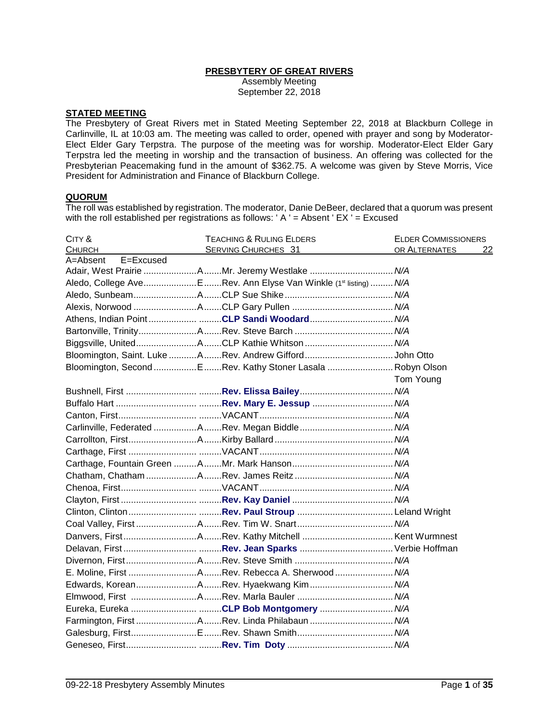## **PRESBYTERY OF GREAT RIVERS**

Assembly Meeting September 22, 2018

# **STATED MEETING**

The Presbytery of Great Rivers met in Stated Meeting September 22, 2018 at Blackburn College in Carlinville, IL at 10:03 am. The meeting was called to order, opened with prayer and song by Moderator-Elect Elder Gary Terpstra. The purpose of the meeting was for worship. Moderator-Elect Elder Gary Terpstra led the meeting in worship and the transaction of business. An offering was collected for the Presbyterian Peacemaking fund in the amount of \$362.75. A welcome was given by Steve Morris, Vice President for Administration and Finance of Blackburn College.

#### **QUORUM**

The roll was established by registration. The moderator, Danie DeBeer, declared that a quorum was present with the roll established per registrations as follows: ' $A' =$  Absent 'EX ' = Excused

| CITY &                | <b>TEACHING &amp; RULING ELDERS</b>                             | <b>ELDER COMMISSIONERS</b> |
|-----------------------|-----------------------------------------------------------------|----------------------------|
| <b>CHURCH</b>         | <b>SERVING CHURCHES 31</b>                                      | OR ALTERNATES<br><u>22</u> |
| E=Excused<br>A=Absent |                                                                 |                            |
|                       | Adair, West Prairie AMr. Jeremy Westlake  N/A                   |                            |
|                       | Aledo, College AveERev. Ann Elyse Van Winkle (1st listing)  N/A |                            |
|                       |                                                                 |                            |
|                       |                                                                 |                            |
|                       | Athens, Indian PointCLP Sandi Woodard N/A                       |                            |
|                       |                                                                 |                            |
|                       |                                                                 |                            |
|                       | Bloomington, Saint. Luke ARev. Andrew Gifford John Otto         |                            |
|                       | Bloomington, Second E Rev. Kathy Stoner Lasala Robyn Olson      |                            |
|                       |                                                                 | Tom Young                  |
|                       |                                                                 |                            |
|                       |                                                                 |                            |
|                       |                                                                 |                            |
|                       |                                                                 |                            |
|                       |                                                                 |                            |
|                       |                                                                 |                            |
|                       |                                                                 |                            |
|                       |                                                                 |                            |
|                       |                                                                 |                            |
|                       |                                                                 |                            |
|                       |                                                                 |                            |
|                       |                                                                 |                            |
|                       |                                                                 |                            |
|                       |                                                                 |                            |
|                       |                                                                 |                            |
|                       |                                                                 |                            |
|                       | Edwards, KoreanARev. Hyaekwang Kim N/A                          |                            |
|                       |                                                                 |                            |
|                       | Eureka, Eureka CLP Bob Montgomery  N/A                          |                            |
|                       | Farmington, First Rev. Linda Philabaun  N/A                     |                            |
|                       |                                                                 |                            |
|                       |                                                                 |                            |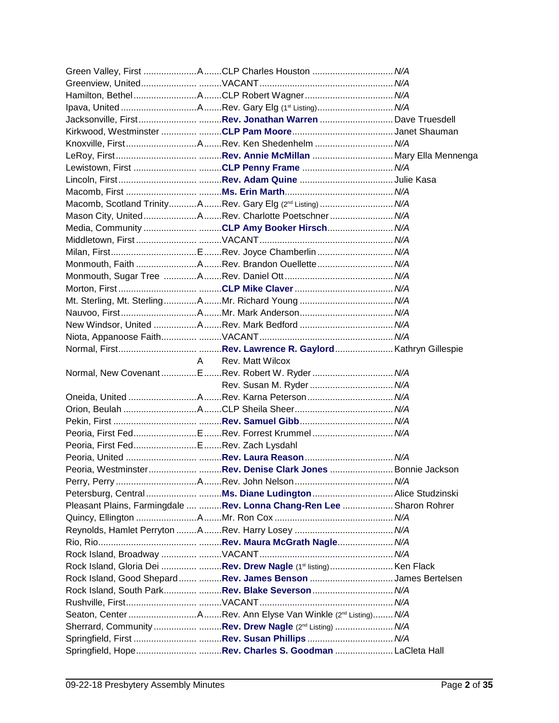|                                      | Green Valley, First ACLP Charles Houston  N/A                         |  |
|--------------------------------------|-----------------------------------------------------------------------|--|
|                                      |                                                                       |  |
|                                      |                                                                       |  |
|                                      |                                                                       |  |
|                                      |                                                                       |  |
|                                      |                                                                       |  |
|                                      |                                                                       |  |
|                                      |                                                                       |  |
|                                      | Lewistown, First CLP Penny Frame  N/A                                 |  |
|                                      |                                                                       |  |
|                                      |                                                                       |  |
|                                      | Macomb, Scotland TrinityARev. Gary Elg (2 <sup>nd</sup> Listing) N/A  |  |
|                                      | Mason City, UnitedARev. Charlotte Poetschner N/A                      |  |
|                                      | Media, Community CLP Amy Booker Hirsch N/A                            |  |
|                                      |                                                                       |  |
|                                      |                                                                       |  |
|                                      | Monmouth, Faith ARev. Brandon Ouellette N/A                           |  |
|                                      |                                                                       |  |
|                                      |                                                                       |  |
|                                      |                                                                       |  |
|                                      |                                                                       |  |
|                                      |                                                                       |  |
|                                      |                                                                       |  |
|                                      |                                                                       |  |
|                                      | A Rev. Matt Wilcox                                                    |  |
|                                      | Normal, New CovenantERev. Robert W. Ryder N/A                         |  |
|                                      |                                                                       |  |
|                                      |                                                                       |  |
|                                      |                                                                       |  |
|                                      |                                                                       |  |
|                                      | Peoria, First FedERev. Forrest Krummel N/A                            |  |
| Peoria, First Fed ERev. Zach Lysdahl |                                                                       |  |
|                                      |                                                                       |  |
|                                      | Peoria, WestminsterRev. Denise Clark Jones  Bonnie Jackson            |  |
|                                      |                                                                       |  |
|                                      |                                                                       |  |
|                                      | Pleasant Plains, Farmingdale  Rev. Lonna Chang-Ren Lee  Sharon Rohrer |  |
|                                      |                                                                       |  |
|                                      |                                                                       |  |
|                                      |                                                                       |  |
|                                      |                                                                       |  |
|                                      | Rock Island, Gloria Dei  Rev. Drew Nagle (1st listing) Ken Flack      |  |
|                                      | Rock Island, Good Shepard  Rev. James Benson James Bertelsen          |  |
|                                      | Rock Island, South Park Rev. Blake Severson  N/A                      |  |
|                                      |                                                                       |  |
|                                      |                                                                       |  |
|                                      | Sherrard, Community Rev. Drew Nagle (2 <sup>nd</sup> Listing)  N/A    |  |
|                                      |                                                                       |  |
|                                      |                                                                       |  |
|                                      |                                                                       |  |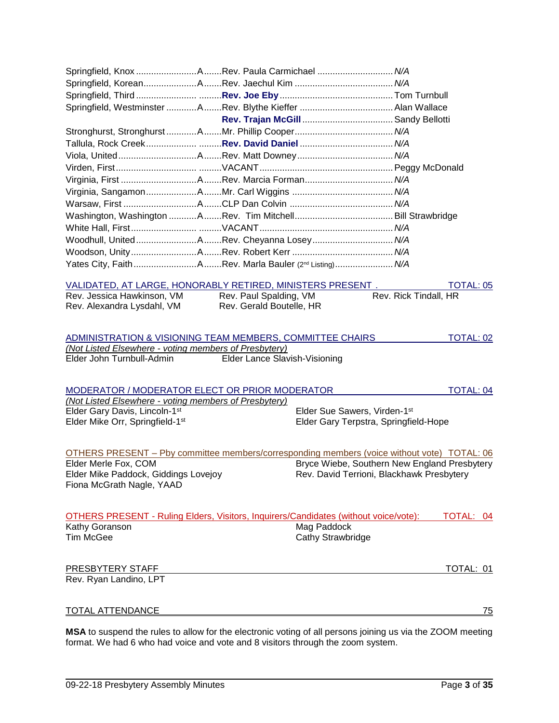| Springfield, Knox Rev. Paula Carmichael  N/A                                                               |  |                               |                                              |                       |                  |
|------------------------------------------------------------------------------------------------------------|--|-------------------------------|----------------------------------------------|-----------------------|------------------|
|                                                                                                            |  |                               |                                              |                       |                  |
|                                                                                                            |  |                               |                                              |                       |                  |
|                                                                                                            |  |                               |                                              |                       |                  |
|                                                                                                            |  |                               |                                              |                       |                  |
|                                                                                                            |  |                               |                                              |                       |                  |
|                                                                                                            |  |                               |                                              |                       |                  |
|                                                                                                            |  |                               |                                              |                       |                  |
|                                                                                                            |  |                               |                                              |                       |                  |
|                                                                                                            |  |                               |                                              |                       |                  |
|                                                                                                            |  |                               |                                              |                       |                  |
|                                                                                                            |  |                               |                                              |                       |                  |
|                                                                                                            |  |                               |                                              |                       |                  |
|                                                                                                            |  |                               |                                              |                       |                  |
| Woodhull, UnitedARev. Cheyanna Losey N/A                                                                   |  |                               |                                              |                       |                  |
|                                                                                                            |  |                               |                                              |                       |                  |
|                                                                                                            |  |                               |                                              |                       |                  |
|                                                                                                            |  |                               |                                              |                       |                  |
| VALIDATED, AT LARGE, HONORABLY RETIRED, MINISTERS PRESENT.                                                 |  |                               |                                              |                       | <b>TOTAL: 05</b> |
| Rev. Jessica Hawkinson, VM                                                                                 |  | Rev. Paul Spalding, VM        |                                              | Rev. Rick Tindall, HR |                  |
| Rev. Alexandra Lysdahl, VM                                                                                 |  | Rev. Gerald Boutelle, HR      |                                              |                       |                  |
|                                                                                                            |  |                               |                                              |                       |                  |
|                                                                                                            |  |                               |                                              |                       |                  |
| ADMINISTRATION & VISIONING TEAM MEMBERS, COMMITTEE CHAIRS                                                  |  |                               |                                              |                       | <b>TOTAL: 02</b> |
| (Not Listed Elsewhere - voting members of Presbytery)<br>Elder John Turnbull-Admin                         |  | Elder Lance Slavish-Visioning |                                              |                       |                  |
|                                                                                                            |  |                               |                                              |                       |                  |
|                                                                                                            |  |                               |                                              |                       |                  |
| MODERATOR / MODERATOR ELECT OR PRIOR MODERATOR                                                             |  |                               |                                              |                       | <b>TOTAL: 04</b> |
| (Not Listed Elsewhere - voting members of Presbytery)                                                      |  |                               |                                              |                       |                  |
| Elder Gary Davis, Lincoln-1st                                                                              |  |                               | Elder Sue Sawers, Virden-1st                 |                       |                  |
| Elder Mike Orr, Springfield-1st                                                                            |  |                               | Elder Gary Terpstra, Springfield-Hope        |                       |                  |
|                                                                                                            |  |                               |                                              |                       |                  |
| OTHERS PRESENT - Pby committee members/corresponding members (voice without vote) TOTAL: 06                |  |                               |                                              |                       |                  |
| Elder Merle Fox, COM                                                                                       |  |                               | Bryce Wiebe, Southern New England Presbytery |                       |                  |
| Elder Mike Paddock, Giddings Lovejoy                                                                       |  |                               | Rev. David Terrioni, Blackhawk Presbytery    |                       |                  |
| Fiona McGrath Nagle, YAAD                                                                                  |  |                               |                                              |                       |                  |
|                                                                                                            |  |                               |                                              |                       |                  |
|                                                                                                            |  |                               |                                              |                       |                  |
| <b>OTHERS PRESENT - Ruling Elders, Visitors, Inquirers/Candidates (without voice/vote):</b>                |  |                               |                                              |                       | TOTAL: 04        |
| Kathy Goranson                                                                                             |  |                               | Mag Paddock                                  |                       |                  |
| <b>Tim McGee</b>                                                                                           |  |                               | Cathy Strawbridge                            |                       |                  |
|                                                                                                            |  |                               |                                              |                       |                  |
| PRESBYTERY STAFF                                                                                           |  |                               |                                              |                       | TOTAL: 01        |
| Rev. Ryan Landino, LPT                                                                                     |  |                               |                                              |                       |                  |
|                                                                                                            |  |                               |                                              |                       |                  |
|                                                                                                            |  |                               |                                              |                       |                  |
| <u>TOTAL ATTENDANCE</u>                                                                                    |  |                               |                                              |                       | <u>75</u>        |
|                                                                                                            |  |                               |                                              |                       |                  |
| MSA to suspend the rules to allow for the electronic voting of all persons joining us via the ZOOM meeting |  |                               |                                              |                       |                  |

format. We had 6 who had voice and vote and 8 visitors through the zoom system.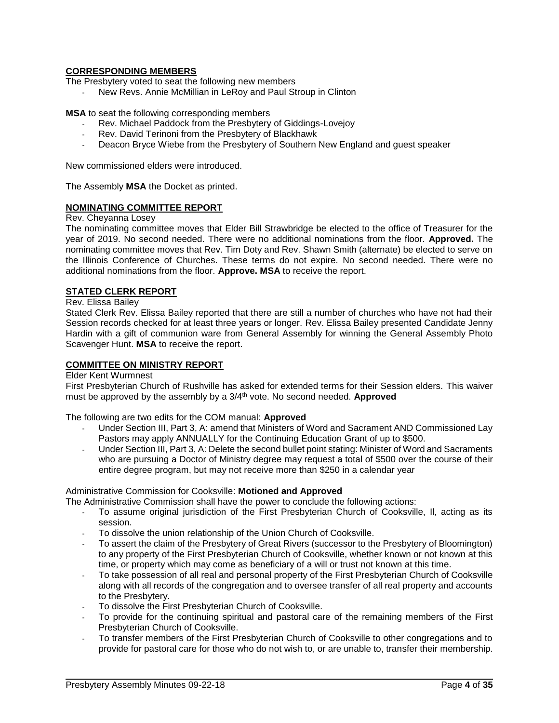## **CORRESPONDING MEMBERS**

The Presbytery voted to seat the following new members

New Revs. Annie McMillian in LeRoy and Paul Stroup in Clinton

**MSA** to seat the following corresponding members

- Rev. Michael Paddock from the Presbytery of Giddings-Lovejoy
- Rev. David Terinoni from the Presbytery of Blackhawk
- Deacon Bryce Wiebe from the Presbytery of Southern New England and guest speaker

New commissioned elders were introduced.

The Assembly **MSA** the Docket as printed.

## **NOMINATING COMMITTEE REPORT**

Rev. Cheyanna Losey

The nominating committee moves that Elder Bill Strawbridge be elected to the office of Treasurer for the year of 2019. No second needed. There were no additional nominations from the floor. **Approved.** The nominating committee moves that Rev. Tim Doty and Rev. Shawn Smith (alternate) be elected to serve on the Illinois Conference of Churches. These terms do not expire. No second needed. There were no additional nominations from the floor. **Approve. MSA** to receive the report.

## **STATED CLERK REPORT**

Rev. Elissa Bailey

Stated Clerk Rev. Elissa Bailey reported that there are still a number of churches who have not had their Session records checked for at least three years or longer. Rev. Elissa Bailey presented Candidate Jenny Hardin with a gift of communion ware from General Assembly for winning the General Assembly Photo Scavenger Hunt. **MSA** to receive the report.

#### **COMMITTEE ON MINISTRY REPORT**

Elder Kent Wurmnest

First Presbyterian Church of Rushville has asked for extended terms for their Session elders. This waiver must be approved by the assembly by a 3/4th vote. No second needed. **Approved**

The following are two edits for the COM manual: **Approved**

- Under Section III, Part 3, A: amend that Ministers of Word and Sacrament AND Commissioned Lay Pastors may apply ANNUALLY for the Continuing Education Grant of up to \$500.
- Under Section III, Part 3, A: Delete the second bullet point stating: Minister of Word and Sacraments who are pursuing a Doctor of Ministry degree may request a total of \$500 over the course of their entire degree program, but may not receive more than \$250 in a calendar year

#### Administrative Commission for Cooksville: **Motioned and Approved**

The Administrative Commission shall have the power to conclude the following actions:

- To assume original jurisdiction of the First Presbyterian Church of Cooksville, II, acting as its session.
- To dissolve the union relationship of the Union Church of Cooksville.
- To assert the claim of the Presbytery of Great Rivers (successor to the Presbytery of Bloomington) to any property of the First Presbyterian Church of Cooksville, whether known or not known at this time, or property which may come as beneficiary of a will or trust not known at this time.
- To take possession of all real and personal property of the First Presbyterian Church of Cooksville along with all records of the congregation and to oversee transfer of all real property and accounts to the Presbytery.
- To dissolve the First Presbyterian Church of Cooksville.
- To provide for the continuing spiritual and pastoral care of the remaining members of the First Presbyterian Church of Cooksville.
- To transfer members of the First Presbyterian Church of Cooksville to other congregations and to provide for pastoral care for those who do not wish to, or are unable to, transfer their membership.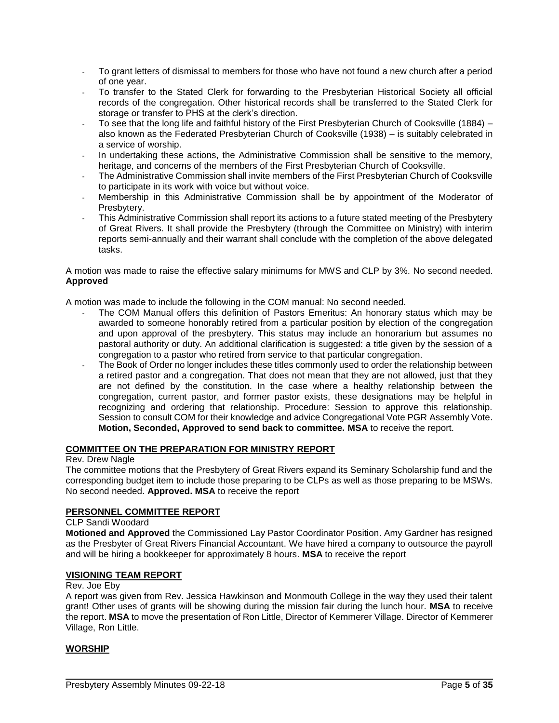- To grant letters of dismissal to members for those who have not found a new church after a period of one year.
- To transfer to the Stated Clerk for forwarding to the Presbyterian Historical Society all official records of the congregation. Other historical records shall be transferred to the Stated Clerk for storage or transfer to PHS at the clerk's direction.
- To see that the long life and faithful history of the First Presbyterian Church of Cooksville (1884) also known as the Federated Presbyterian Church of Cooksville (1938) – is suitably celebrated in a service of worship.
- In undertaking these actions, the Administrative Commission shall be sensitive to the memory, heritage, and concerns of the members of the First Presbyterian Church of Cooksville.
- The Administrative Commission shall invite members of the First Presbyterian Church of Cooksville to participate in its work with voice but without voice.
- Membership in this Administrative Commission shall be by appointment of the Moderator of Presbytery.
- This Administrative Commission shall report its actions to a future stated meeting of the Presbytery of Great Rivers. It shall provide the Presbytery (through the Committee on Ministry) with interim reports semi-annually and their warrant shall conclude with the completion of the above delegated tasks.

A motion was made to raise the effective salary minimums for MWS and CLP by 3%. No second needed. **Approved**

A motion was made to include the following in the COM manual: No second needed.

- The COM Manual offers this definition of Pastors Emeritus: An honorary status which may be awarded to someone honorably retired from a particular position by election of the congregation and upon approval of the presbytery. This status may include an honorarium but assumes no pastoral authority or duty. An additional clarification is suggested: a title given by the session of a congregation to a pastor who retired from service to that particular congregation.
- The Book of Order no longer includes these titles commonly used to order the relationship between a retired pastor and a congregation. That does not mean that they are not allowed, just that they are not defined by the constitution. In the case where a healthy relationship between the congregation, current pastor, and former pastor exists, these designations may be helpful in recognizing and ordering that relationship. Procedure: Session to approve this relationship. Session to consult COM for their knowledge and advice Congregational Vote PGR Assembly Vote. **Motion, Seconded, Approved to send back to committee. MSA** to receive the report.

## **COMMITTEE ON THE PREPARATION FOR MINISTRY REPORT**

#### Rev. Drew Nagle

The committee motions that the Presbytery of Great Rivers expand its Seminary Scholarship fund and the corresponding budget item to include those preparing to be CLPs as well as those preparing to be MSWs. No second needed. **Approved. MSA** to receive the report

# **PERSONNEL COMMITTEE REPORT**

#### CLP Sandi Woodard

**Motioned and Approved** the Commissioned Lay Pastor Coordinator Position. Amy Gardner has resigned as the Presbyter of Great Rivers Financial Accountant. We have hired a company to outsource the payroll and will be hiring a bookkeeper for approximately 8 hours. **MSA** to receive the report

#### **VISIONING TEAM REPORT**

#### Rev. Joe Eby

A report was given from Rev. Jessica Hawkinson and Monmouth College in the way they used their talent grant! Other uses of grants will be showing during the mission fair during the lunch hour. **MSA** to receive the report. **MSA** to move the presentation of Ron Little, Director of Kemmerer Village. Director of Kemmerer Village, Ron Little.

#### **WORSHIP**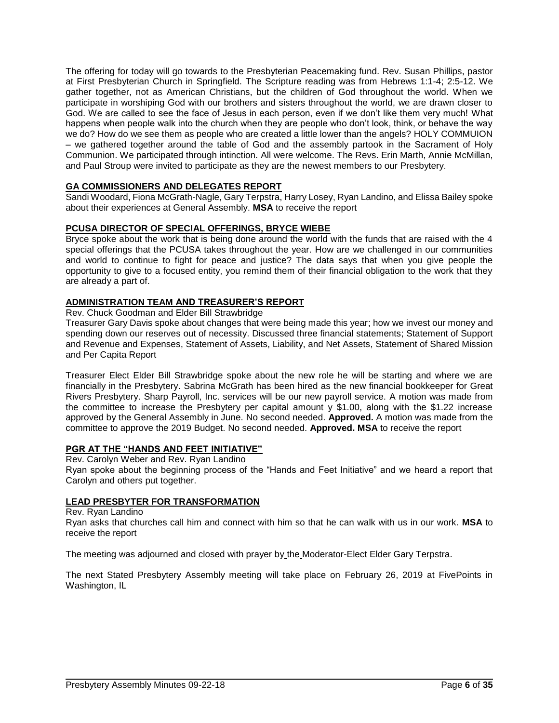The offering for today will go towards to the Presbyterian Peacemaking fund. Rev. Susan Phillips, pastor at First Presbyterian Church in Springfield. The Scripture reading was from Hebrews 1:1-4; 2:5-12. We gather together, not as American Christians, but the children of God throughout the world. When we participate in worshiping God with our brothers and sisters throughout the world, we are drawn closer to God. We are called to see the face of Jesus in each person, even if we don't like them very much! What happens when people walk into the church when they are people who don't look, think, or behave the way we do? How do we see them as people who are created a little lower than the angels? HOLY COMMUION – we gathered together around the table of God and the assembly partook in the Sacrament of Holy Communion. We participated through intinction. All were welcome. The Revs. Erin Marth, Annie McMillan, and Paul Stroup were invited to participate as they are the newest members to our Presbytery.

## **GA COMMISSIONERS AND DELEGATES REPORT**

Sandi Woodard, Fiona McGrath-Nagle, Gary Terpstra, Harry Losey, Ryan Landino, and Elissa Bailey spoke about their experiences at General Assembly. **MSA** to receive the report

## **PCUSA DIRECTOR OF SPECIAL OFFERINGS, BRYCE WIEBE**

Bryce spoke about the work that is being done around the world with the funds that are raised with the 4 special offerings that the PCUSA takes throughout the year. How are we challenged in our communities and world to continue to fight for peace and justice? The data says that when you give people the opportunity to give to a focused entity, you remind them of their financial obligation to the work that they are already a part of.

## **ADMINISTRATION TEAM AND TREASURER'S REPORT**

Rev. Chuck Goodman and Elder Bill Strawbridge

Treasurer Gary Davis spoke about changes that were being made this year; how we invest our money and spending down our reserves out of necessity. Discussed three financial statements; Statement of Support and Revenue and Expenses, Statement of Assets, Liability, and Net Assets, Statement of Shared Mission and Per Capita Report

Treasurer Elect Elder Bill Strawbridge spoke about the new role he will be starting and where we are financially in the Presbytery. Sabrina McGrath has been hired as the new financial bookkeeper for Great Rivers Presbytery. Sharp Payroll, Inc. services will be our new payroll service. A motion was made from the committee to increase the Presbytery per capital amount  $y$  \$1.00, along with the \$1.22 increase approved by the General Assembly in June. No second needed. **Approved.** A motion was made from the committee to approve the 2019 Budget. No second needed. **Approved. MSA** to receive the report

#### **PGR AT THE "HANDS AND FEET INITIATIVE"**

Rev. Carolyn Weber and Rev. Ryan Landino Ryan spoke about the beginning process of the "Hands and Feet Initiative" and we heard a report that Carolyn and others put together.

## **LEAD PRESBYTER FOR TRANSFORMATION**

## Rev. Ryan Landino

Ryan asks that churches call him and connect with him so that he can walk with us in our work. **MSA** to receive the report

The meeting was adjourned and closed with prayer by the Moderator-Elect Elder Gary Terpstra.

The next Stated Presbytery Assembly meeting will take place on February 26, 2019 at FivePoints in Washington, IL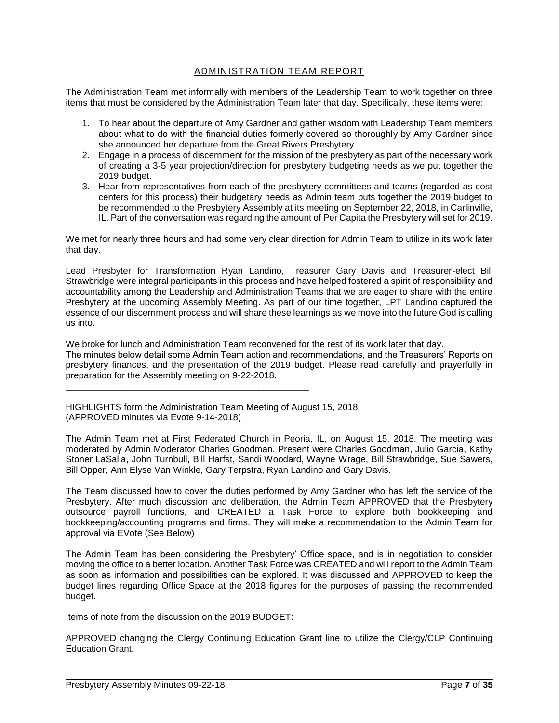# ADMINISTRATION TEAM REPORT

The Administration Team met informally with members of the Leadership Team to work together on three items that must be considered by the Administration Team later that day. Specifically, these items were:

- 1. To hear about the departure of Amy Gardner and gather wisdom with Leadership Team members about what to do with the financial duties formerly covered so thoroughly by Amy Gardner since she announced her departure from the Great Rivers Presbytery.
- 2. Engage in a process of discernment for the mission of the presbytery as part of the necessary work of creating a 3-5 year projection/direction for presbytery budgeting needs as we put together the 2019 budget.
- 3. Hear from representatives from each of the presbytery committees and teams (regarded as cost centers for this process) their budgetary needs as Admin team puts together the 2019 budget to be recommended to the Presbytery Assembly at its meeting on September 22, 2018, in Carlinville, IL. Part of the conversation was regarding the amount of Per Capita the Presbytery will set for 2019.

We met for nearly three hours and had some very clear direction for Admin Team to utilize in its work later that day.

Lead Presbyter for Transformation Ryan Landino, Treasurer Gary Davis and Treasurer-elect Bill Strawbridge were integral participants in this process and have helped fostered a spirit of responsibility and accountability among the Leadership and Administration Teams that we are eager to share with the entire Presbytery at the upcoming Assembly Meeting. As part of our time together, LPT Landino captured the essence of our discernment process and will share these learnings as we move into the future God is calling us into.

We broke for lunch and Administration Team reconvened for the rest of its work later that day. The minutes below detail some Admin Team action and recommendations, and the Treasurers' Reports on presbytery finances, and the presentation of the 2019 budget. Please read carefully and prayerfully in preparation for the Assembly meeting on 9-22-2018.

HIGHLIGHTS form the Administration Team Meeting of August 15, 2018 (APPROVED minutes via Evote 9-14-2018)

\_\_\_\_\_\_\_\_\_\_\_\_\_\_\_\_\_\_\_\_\_\_\_\_\_\_\_\_\_\_\_\_\_\_\_\_\_\_\_\_\_\_\_\_\_\_\_\_

The Admin Team met at First Federated Church in Peoria, IL, on August 15, 2018. The meeting was moderated by Admin Moderator Charles Goodman. Present were Charles Goodman, Julio Garcia, Kathy Stoner LaSalla, John Turnbull, Bill Harfst, Sandi Woodard, Wayne Wrage, Bill Strawbridge, Sue Sawers, Bill Opper, Ann Elyse Van Winkle, Gary Terpstra, Ryan Landino and Gary Davis.

The Team discussed how to cover the duties performed by Amy Gardner who has left the service of the Presbytery. After much discussion and deliberation, the Admin Team APPROVED that the Presbytery outsource payroll functions, and CREATED a Task Force to explore both bookkeeping and bookkeeping/accounting programs and firms. They will make a recommendation to the Admin Team for approval via EVote (See Below)

The Admin Team has been considering the Presbytery' Office space, and is in negotiation to consider moving the office to a better location. Another Task Force was CREATED and will report to the Admin Team as soon as information and possibilities can be explored. It was discussed and APPROVED to keep the budget lines regarding Office Space at the 2018 figures for the purposes of passing the recommended budget.

Items of note from the discussion on the 2019 BUDGET:

APPROVED changing the Clergy Continuing Education Grant line to utilize the Clergy/CLP Continuing Education Grant.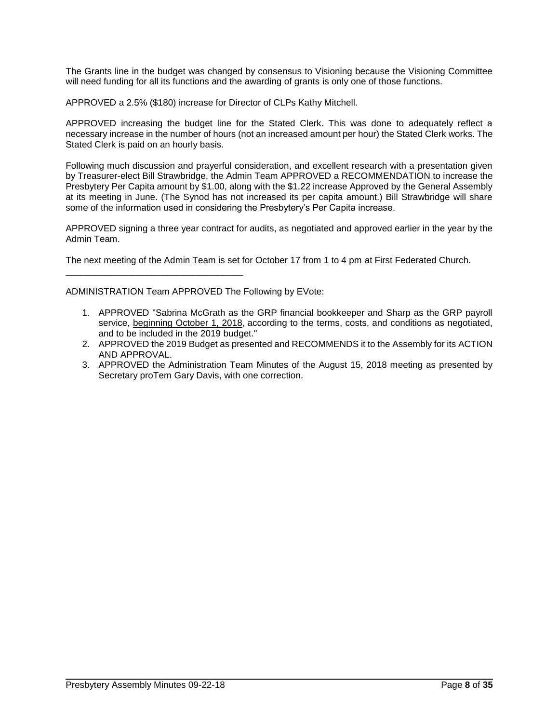The Grants line in the budget was changed by consensus to Visioning because the Visioning Committee will need funding for all its functions and the awarding of grants is only one of those functions.

APPROVED a 2.5% (\$180) increase for Director of CLPs Kathy Mitchell.

APPROVED increasing the budget line for the Stated Clerk. This was done to adequately reflect a necessary increase in the number of hours (not an increased amount per hour) the Stated Clerk works. The Stated Clerk is paid on an hourly basis.

Following much discussion and prayerful consideration, and excellent research with a presentation given by Treasurer-elect Bill Strawbridge, the Admin Team APPROVED a RECOMMENDATION to increase the Presbytery Per Capita amount by \$1.00, along with the \$1.22 increase Approved by the General Assembly at its meeting in June. (The Synod has not increased its per capita amount.) Bill Strawbridge will share some of the information used in considering the Presbytery's Per Capita increase.

APPROVED signing a three year contract for audits, as negotiated and approved earlier in the year by the Admin Team.

The next meeting of the Admin Team is set for October 17 from 1 to 4 pm at First Federated Church.

ADMINISTRATION Team APPROVED The Following by EVote:

\_\_\_\_\_\_\_\_\_\_\_\_\_\_\_\_\_\_\_\_\_\_\_\_\_\_\_\_\_\_\_\_\_\_\_

- 1. APPROVED "Sabrina McGrath as the GRP financial bookkeeper and Sharp as the GRP payroll service, beginning October 1, 2018, according to the terms, costs, and conditions as negotiated, and to be included in the 2019 budget."
- 2. APPROVED the 2019 Budget as presented and RECOMMENDS it to the Assembly for its ACTION AND APPROVAL.
- 3. APPROVED the Administration Team Minutes of the August 15, 2018 meeting as presented by Secretary proTem Gary Davis, with one correction.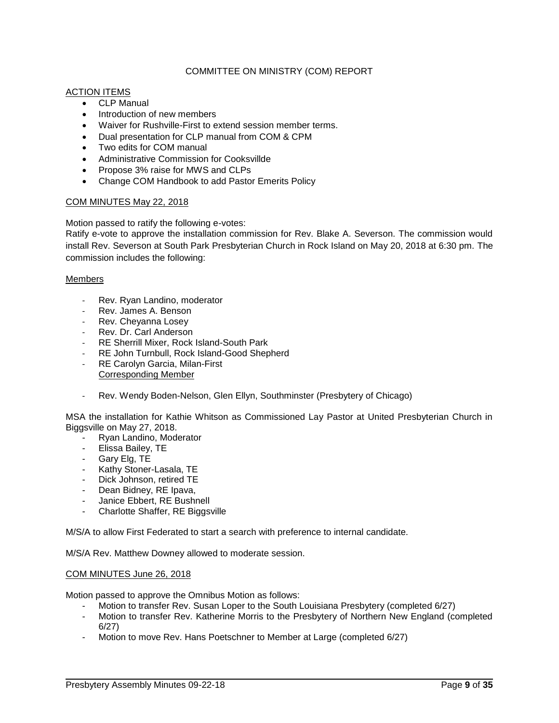## COMMITTEE ON MINISTRY (COM) REPORT

#### ACTION ITEMS

- CLP Manual
- Introduction of new members
- Waiver for Rushville-First to extend session member terms.
- Dual presentation for CLP manual from COM & CPM
- Two edits for COM manual
- Administrative Commission for Cooksvillde
- Propose 3% raise for MWS and CLPs
- Change COM Handbook to add Pastor Emerits Policy

#### COM MINUTES May 22, 2018

Motion passed to ratify the following e-votes:

Ratify e-vote to approve the installation commission for Rev. Blake A. Severson. The commission would install Rev. Severson at South Park Presbyterian Church in Rock Island on May 20, 2018 at 6:30 pm. The commission includes the following:

#### Members

- Rev. Ryan Landino, moderator
- Rev. James A. Benson
- Rev. Cheyanna Losey
- Rev. Dr. Carl Anderson
- RE Sherrill Mixer, Rock Island-South Park
- RE John Turnbull, Rock Island-Good Shepherd
- RE Carolyn Garcia, Milan-First Corresponding Member
- Rev. Wendy Boden-Nelson, Glen Ellyn, Southminster (Presbytery of Chicago)

MSA the installation for Kathie Whitson as Commissioned Lay Pastor at United Presbyterian Church in Biggsville on May 27, 2018.

- Ryan Landino, Moderator
- Elissa Bailey, TE
- Gary Elg, TE
- Kathy Stoner-Lasala, TE
- Dick Johnson, retired TE
- Dean Bidney, RE Ipava,
- Janice Ebbert, RE Bushnell
- Charlotte Shaffer, RE Biggsville

M/S/A to allow First Federated to start a search with preference to internal candidate.

M/S/A Rev. Matthew Downey allowed to moderate session.

#### COM MINUTES June 26, 2018

Motion passed to approve the Omnibus Motion as follows:

- Motion to transfer Rev. Susan Loper to the South Louisiana Presbytery (completed 6/27)
- Motion to transfer Rev. Katherine Morris to the Presbytery of Northern New England (completed 6/27)
- Motion to move Rev. Hans Poetschner to Member at Large (completed 6/27)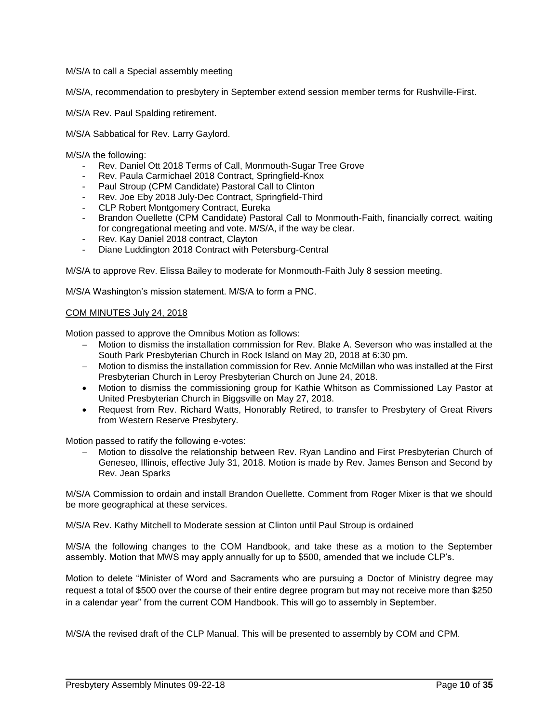M/S/A to call a Special assembly meeting

M/S/A, recommendation to presbytery in September extend session member terms for Rushville-First.

M/S/A Rev. Paul Spalding retirement.

M/S/A Sabbatical for Rev. Larry Gaylord.

M/S/A the following:

- Rev. Daniel Ott 2018 Terms of Call, Monmouth-Sugar Tree Grove
- Rev. Paula Carmichael 2018 Contract, Springfield-Knox
- Paul Stroup (CPM Candidate) Pastoral Call to Clinton
- Rev. Joe Eby 2018 July-Dec Contract, Springfield-Third
- CLP Robert Montgomery Contract, Eureka
- Brandon Ouellette (CPM Candidate) Pastoral Call to Monmouth-Faith, financially correct, waiting for congregational meeting and vote. M/S/A, if the way be clear.
- Rev. Kay Daniel 2018 contract, Clayton
- Diane Luddington 2018 Contract with Petersburg-Central

M/S/A to approve Rev. Elissa Bailey to moderate for Monmouth-Faith July 8 session meeting.

M/S/A Washington's mission statement. M/S/A to form a PNC.

#### COM MINUTES July 24, 2018

Motion passed to approve the Omnibus Motion as follows:

- − Motion to dismiss the installation commission for Rev. Blake A. Severson who was installed at the South Park Presbyterian Church in Rock Island on May 20, 2018 at 6:30 pm.
- − Motion to dismiss the installation commission for Rev. Annie McMillan who was installed at the First Presbyterian Church in Leroy Presbyterian Church on June 24, 2018.
- Motion to dismiss the commissioning group for Kathie Whitson as Commissioned Lay Pastor at United Presbyterian Church in Biggsville on May 27, 2018.
- Request from Rev. Richard Watts, Honorably Retired, to transfer to Presbytery of Great Rivers from Western Reserve Presbytery.

Motion passed to ratify the following e-votes:

− Motion to dissolve the relationship between Rev. Ryan Landino and First Presbyterian Church of Geneseo, Illinois, effective July 31, 2018. Motion is made by Rev. James Benson and Second by Rev. Jean Sparks

M/S/A Commission to ordain and install Brandon Ouellette. Comment from Roger Mixer is that we should be more geographical at these services.

M/S/A Rev. Kathy Mitchell to Moderate session at Clinton until Paul Stroup is ordained

M/S/A the following changes to the COM Handbook, and take these as a motion to the September assembly. Motion that MWS may apply annually for up to \$500, amended that we include CLP's.

Motion to delete "Minister of Word and Sacraments who are pursuing a Doctor of Ministry degree may request a total of \$500 over the course of their entire degree program but may not receive more than \$250 in a calendar year" from the current COM Handbook. This will go to assembly in September.

M/S/A the revised draft of the CLP Manual. This will be presented to assembly by COM and CPM.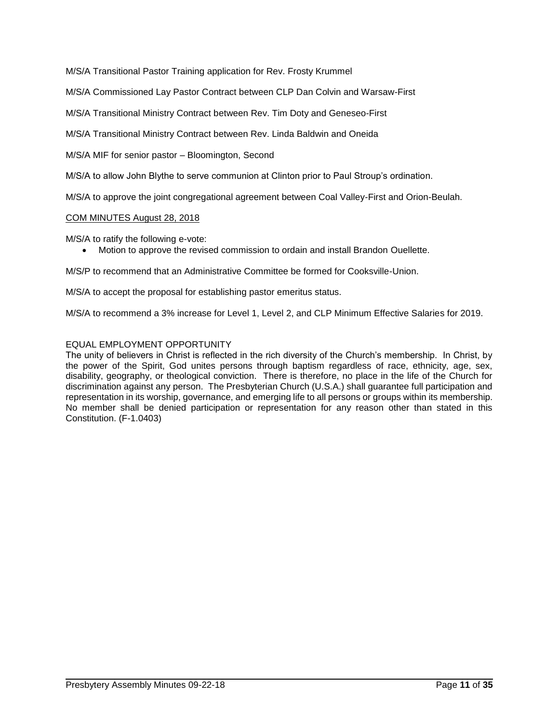M/S/A Transitional Pastor Training application for Rev. Frosty Krummel

M/S/A Commissioned Lay Pastor Contract between CLP Dan Colvin and Warsaw-First

M/S/A Transitional Ministry Contract between Rev. Tim Doty and Geneseo-First

M/S/A Transitional Ministry Contract between Rev. Linda Baldwin and Oneida

M/S/A MIF for senior pastor – Bloomington, Second

M/S/A to allow John Blythe to serve communion at Clinton prior to Paul Stroup's ordination.

M/S/A to approve the joint congregational agreement between Coal Valley-First and Orion-Beulah.

#### COM MINUTES August 28, 2018

M/S/A to ratify the following e-vote:

• Motion to approve the revised commission to ordain and install Brandon Ouellette.

M/S/P to recommend that an Administrative Committee be formed for Cooksville-Union.

M/S/A to accept the proposal for establishing pastor emeritus status.

M/S/A to recommend a 3% increase for Level 1, Level 2, and CLP Minimum Effective Salaries for 2019.

### EQUAL EMPLOYMENT OPPORTUNITY

The unity of believers in Christ is reflected in the rich diversity of the Church's membership. In Christ, by the power of the Spirit, God unites persons through baptism regardless of race, ethnicity, age, sex, disability, geography, or theological conviction. There is therefore, no place in the life of the Church for discrimination against any person. The Presbyterian Church (U.S.A.) shall guarantee full participation and representation in its worship, governance, and emerging life to all persons or groups within its membership. No member shall be denied participation or representation for any reason other than stated in this Constitution. (F-1.0403)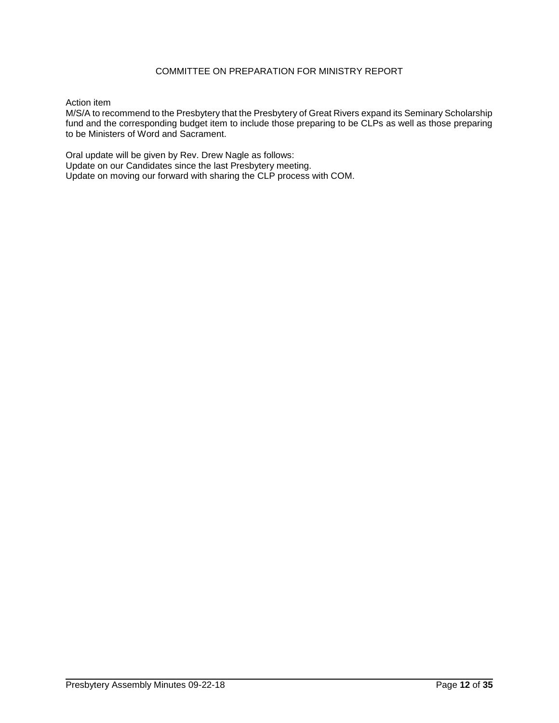# COMMITTEE ON PREPARATION FOR MINISTRY REPORT

#### Action item

M/S/A to recommend to the Presbytery that the Presbytery of Great Rivers expand its Seminary Scholarship fund and the corresponding budget item to include those preparing to be CLPs as well as those preparing to be Ministers of Word and Sacrament.

Oral update will be given by Rev. Drew Nagle as follows: Update on our Candidates since the last Presbytery meeting. Update on moving our forward with sharing the CLP process with COM.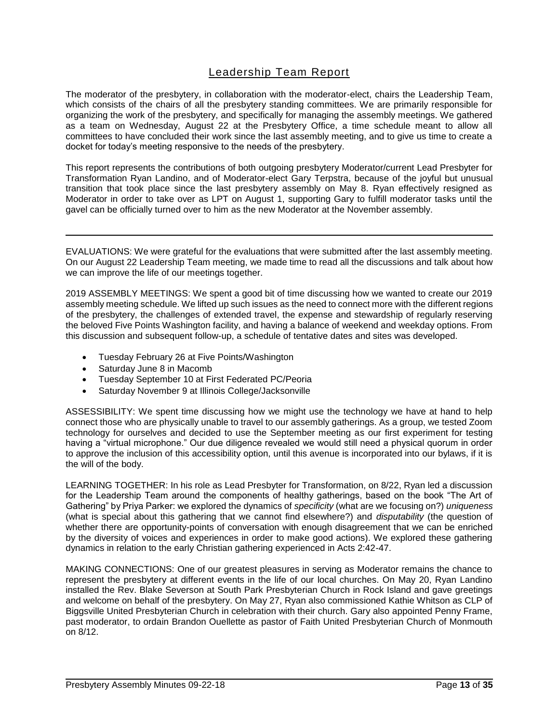# Leadership Team Report

The moderator of the presbytery, in collaboration with the moderator-elect, chairs the Leadership Team, which consists of the chairs of all the presbytery standing committees. We are primarily responsible for organizing the work of the presbytery, and specifically for managing the assembly meetings. We gathered as a team on Wednesday, August 22 at the Presbytery Office, a time schedule meant to allow all committees to have concluded their work since the last assembly meeting, and to give us time to create a docket for today's meeting responsive to the needs of the presbytery.

This report represents the contributions of both outgoing presbytery Moderator/current Lead Presbyter for Transformation Ryan Landino, and of Moderator-elect Gary Terpstra, because of the joyful but unusual transition that took place since the last presbytery assembly on May 8. Ryan effectively resigned as Moderator in order to take over as LPT on August 1, supporting Gary to fulfill moderator tasks until the gavel can be officially turned over to him as the new Moderator at the November assembly.

EVALUATIONS: We were grateful for the evaluations that were submitted after the last assembly meeting. On our August 22 Leadership Team meeting, we made time to read all the discussions and talk about how we can improve the life of our meetings together.

2019 ASSEMBLY MEETINGS: We spent a good bit of time discussing how we wanted to create our 2019 assembly meeting schedule. We lifted up such issues as the need to connect more with the different regions of the presbytery, the challenges of extended travel, the expense and stewardship of regularly reserving the beloved Five Points Washington facility, and having a balance of weekend and weekday options. From this discussion and subsequent follow-up, a schedule of tentative dates and sites was developed.

- Tuesday February 26 at Five Points/Washington
- Saturday June 8 in Macomb
- Tuesday September 10 at First Federated PC/Peoria
- Saturday November 9 at Illinois College/Jacksonville

ASSESSIBILITY: We spent time discussing how we might use the technology we have at hand to help connect those who are physically unable to travel to our assembly gatherings. As a group, we tested Zoom technology for ourselves and decided to use the September meeting as our first experiment for testing having a "virtual microphone." Our due diligence revealed we would still need a physical quorum in order to approve the inclusion of this accessibility option, until this avenue is incorporated into our bylaws, if it is the will of the body.

LEARNING TOGETHER: In his role as Lead Presbyter for Transformation, on 8/22, Ryan led a discussion for the Leadership Team around the components of healthy gatherings, based on the book "The Art of Gathering" by Priya Parker: we explored the dynamics of *specificity* (what are we focusing on?) *uniqueness* (what is special about this gathering that we cannot find elsewhere?) and *disputability* (the question of whether there are opportunity-points of conversation with enough disagreement that we can be enriched by the diversity of voices and experiences in order to make good actions). We explored these gathering dynamics in relation to the early Christian gathering experienced in Acts 2:42-47.

MAKING CONNECTIONS: One of our greatest pleasures in serving as Moderator remains the chance to represent the presbytery at different events in the life of our local churches. On May 20, Ryan Landino installed the Rev. Blake Severson at South Park Presbyterian Church in Rock Island and gave greetings and welcome on behalf of the presbytery. On May 27, Ryan also commissioned Kathie Whitson as CLP of Biggsville United Presbyterian Church in celebration with their church. Gary also appointed Penny Frame, past moderator, to ordain Brandon Ouellette as pastor of Faith United Presbyterian Church of Monmouth on 8/12.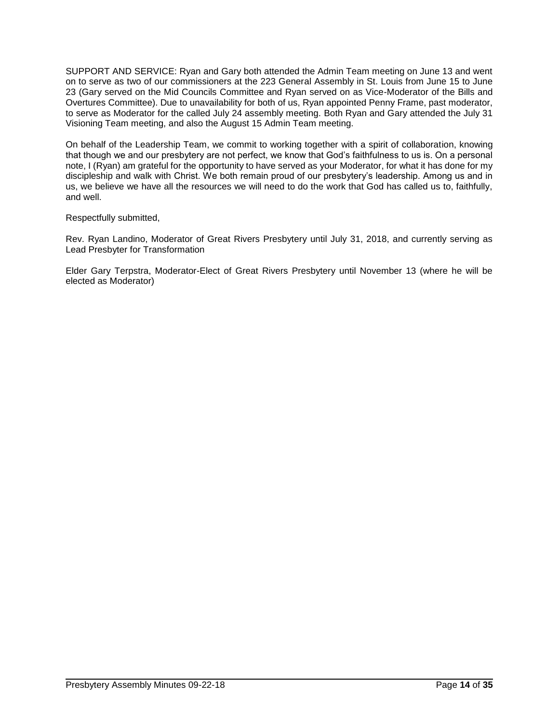SUPPORT AND SERVICE: Ryan and Gary both attended the Admin Team meeting on June 13 and went on to serve as two of our commissioners at the 223 General Assembly in St. Louis from June 15 to June 23 (Gary served on the Mid Councils Committee and Ryan served on as Vice-Moderator of the Bills and Overtures Committee). Due to unavailability for both of us, Ryan appointed Penny Frame, past moderator, to serve as Moderator for the called July 24 assembly meeting. Both Ryan and Gary attended the July 31 Visioning Team meeting, and also the August 15 Admin Team meeting.

On behalf of the Leadership Team, we commit to working together with a spirit of collaboration, knowing that though we and our presbytery are not perfect, we know that God's faithfulness to us is. On a personal note, I (Ryan) am grateful for the opportunity to have served as your Moderator, for what it has done for my discipleship and walk with Christ. We both remain proud of our presbytery's leadership. Among us and in us, we believe we have all the resources we will need to do the work that God has called us to, faithfully, and well.

Respectfully submitted,

Rev. Ryan Landino, Moderator of Great Rivers Presbytery until July 31, 2018, and currently serving as Lead Presbyter for Transformation

Elder Gary Terpstra, Moderator-Elect of Great Rivers Presbytery until November 13 (where he will be elected as Moderator)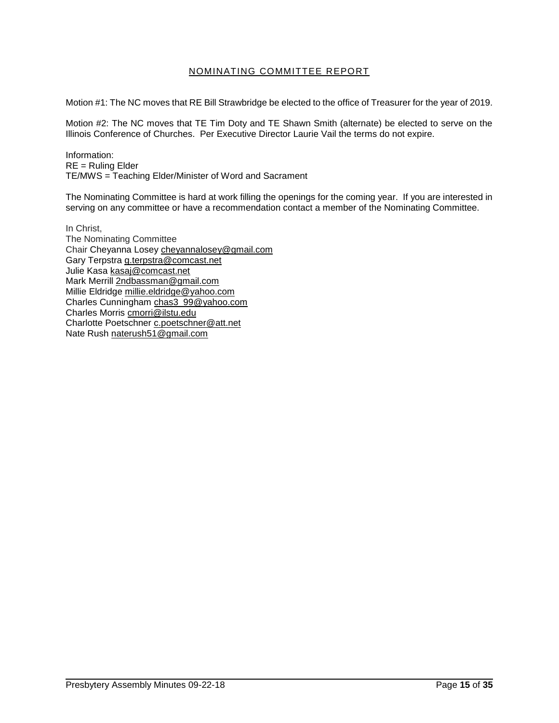# NOMINATING COMMITTEE REPORT

Motion #1: The NC moves that RE Bill Strawbridge be elected to the office of Treasurer for the year of 2019.

Motion #2: The NC moves that TE Tim Doty and TE Shawn Smith (alternate) be elected to serve on the Illinois Conference of Churches. Per Executive Director Laurie Vail the terms do not expire.

Information: RE = Ruling Elder TE/MWS = Teaching Elder/Minister of Word and Sacrament

The Nominating Committee is hard at work filling the openings for the coming year. If you are interested in serving on any committee or have a recommendation contact a member of the Nominating Committee.

In Christ, The Nominating Committee Chair Cheyanna Losey cheyannalosey@gmail.com Gary Terpstra g.terpstra@comcast.net Julie Kasa kasaj@comcast.net Mark Merrill 2ndbassman@gmail.com Millie Eldridge millie.eldridge@yahoo.com Charles Cunningham chas3\_99@yahoo.com Charles Morris cmorri@ilstu.edu Charlotte Poetschner c.poetschner@att.net Nate Rush naterush51@gmail.com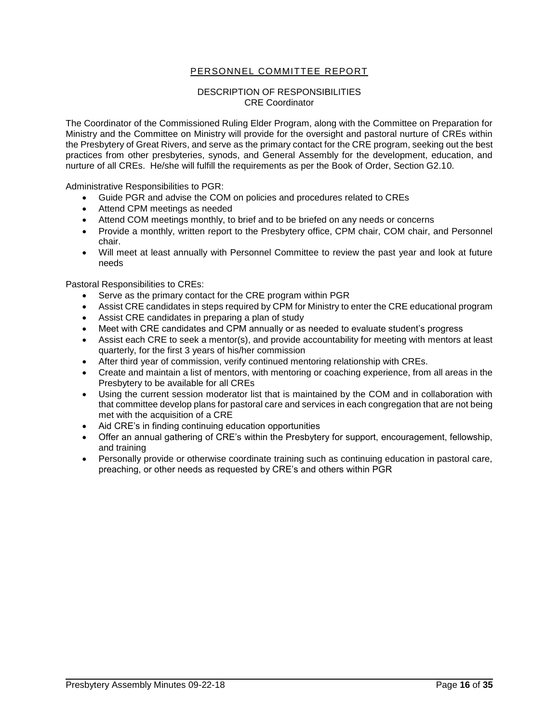# PERSONNEL COMMITTEE REPORT

#### DESCRIPTION OF RESPONSIBILITIES CRE Coordinator

The Coordinator of the Commissioned Ruling Elder Program, along with the Committee on Preparation for Ministry and the Committee on Ministry will provide for the oversight and pastoral nurture of CREs within the Presbytery of Great Rivers, and serve as the primary contact for the CRE program, seeking out the best practices from other presbyteries, synods, and General Assembly for the development, education, and nurture of all CREs. He/she will fulfill the requirements as per the Book of Order, Section G2.10.

Administrative Responsibilities to PGR:

- Guide PGR and advise the COM on policies and procedures related to CREs
- Attend CPM meetings as needed
- Attend COM meetings monthly, to brief and to be briefed on any needs or concerns
- Provide a monthly, written report to the Presbytery office, CPM chair, COM chair, and Personnel chair.
- Will meet at least annually with Personnel Committee to review the past year and look at future needs

Pastoral Responsibilities to CREs:

- Serve as the primary contact for the CRE program within PGR
- Assist CRE candidates in steps required by CPM for Ministry to enter the CRE educational program
- Assist CRE candidates in preparing a plan of study
- Meet with CRE candidates and CPM annually or as needed to evaluate student's progress
- Assist each CRE to seek a mentor(s), and provide accountability for meeting with mentors at least quarterly, for the first 3 years of his/her commission
- After third year of commission, verify continued mentoring relationship with CREs.
- Create and maintain a list of mentors, with mentoring or coaching experience, from all areas in the Presbytery to be available for all CREs
- Using the current session moderator list that is maintained by the COM and in collaboration with that committee develop plans for pastoral care and services in each congregation that are not being met with the acquisition of a CRE
- Aid CRE's in finding continuing education opportunities
- Offer an annual gathering of CRE's within the Presbytery for support, encouragement, fellowship, and training
- Personally provide or otherwise coordinate training such as continuing education in pastoral care, preaching, or other needs as requested by CRE's and others within PGR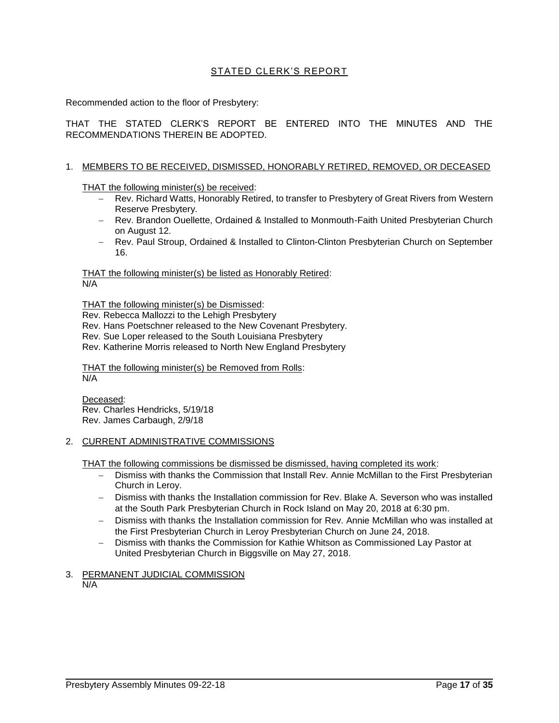# STATED CLERK'S REPORT

Recommended action to the floor of Presbytery:

THAT THE STATED CLERK'S REPORT BE ENTERED INTO THE MINUTES AND THE RECOMMENDATIONS THEREIN BE ADOPTED.

#### 1. MEMBERS TO BE RECEIVED, DISMISSED, HONORABLY RETIRED, REMOVED, OR DECEASED

THAT the following minister(s) be received:

- − Rev. Richard Watts, Honorably Retired, to transfer to Presbytery of Great Rivers from Western Reserve Presbytery.
- − Rev. Brandon Ouellette, Ordained & Installed to Monmouth-Faith United Presbyterian Church on August 12.
- − Rev. Paul Stroup, Ordained & Installed to Clinton-Clinton Presbyterian Church on September 16.

THAT the following minister(s) be listed as Honorably Retired: N/A

THAT the following minister(s) be Dismissed:

Rev. Rebecca Mallozzi to the Lehigh Presbytery

- Rev. Hans Poetschner released to the New Covenant Presbytery.
- Rev. Sue Loper released to the South Louisiana Presbytery

Rev. Katherine Morris released to North New England Presbytery

THAT the following minister(s) be Removed from Rolls: N/A

Deceased: Rev. Charles Hendricks, 5/19/18 Rev. James Carbaugh, 2/9/18

#### 2. CURRENT ADMINISTRATIVE COMMISSIONS

THAT the following commissions be dismissed be dismissed, having completed its work:

- − Dismiss with thanks the Commission that Install Rev. Annie McMillan to the First Presbyterian Church in Leroy.
- − Dismiss with thanks the Installation commission for Rev. Blake A. Severson who was installed at the South Park Presbyterian Church in Rock Island on May 20, 2018 at 6:30 pm.
- − Dismiss with thanks the Installation commission for Rev. Annie McMillan who was installed at the First Presbyterian Church in Leroy Presbyterian Church on June 24, 2018.
- − Dismiss with thanks the Commission for Kathie Whitson as Commissioned Lay Pastor at United Presbyterian Church in Biggsville on May 27, 2018.
- 3. PERMANENT JUDICIAL COMMISSION

N/A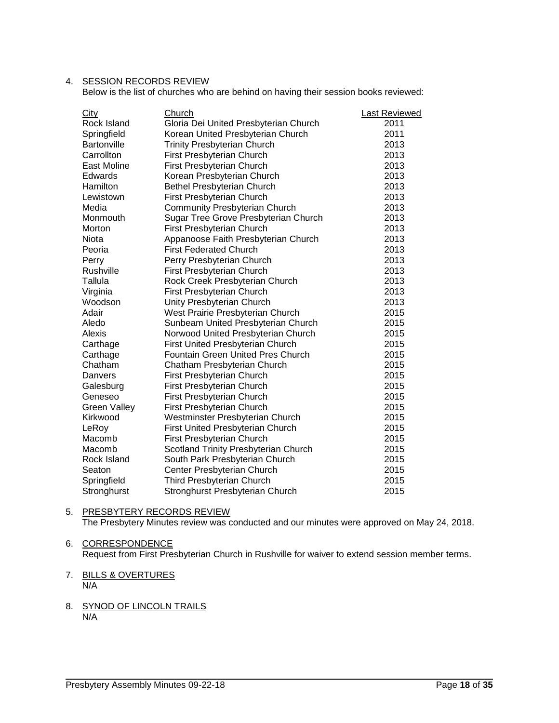## 4. SESSION RECORDS REVIEW

Below is the list of churches who are behind on having their session books reviewed:

| <b>City</b>         | Church                                   | <b>Last Reviewed</b> |
|---------------------|------------------------------------------|----------------------|
| Rock Island         | Gloria Dei United Presbyterian Church    | 2011                 |
| Springfield         | Korean United Presbyterian Church        | 2011                 |
| Bartonville         | <b>Trinity Presbyterian Church</b>       | 2013                 |
| Carrollton          | First Presbyterian Church                | 2013                 |
| East Moline         | First Presbyterian Church                | 2013                 |
| Edwards             | Korean Presbyterian Church               | 2013                 |
| Hamilton            | Bethel Presbyterian Church               | 2013                 |
| Lewistown           | First Presbyterian Church                | 2013                 |
| Media               | <b>Community Presbyterian Church</b>     | 2013                 |
| Monmouth            | Sugar Tree Grove Presbyterian Church     | 2013                 |
| Morton              | First Presbyterian Church                | 2013                 |
| Niota               | Appanoose Faith Presbyterian Church      | 2013                 |
| Peoria              | <b>First Federated Church</b>            | 2013                 |
| Perry               | Perry Presbyterian Church                | 2013                 |
| Rushville           | First Presbyterian Church                | 2013                 |
| Tallula             | Rock Creek Presbyterian Church           | 2013                 |
| Virginia            | First Presbyterian Church                | 2013                 |
| Woodson             | Unity Presbyterian Church                | 2013                 |
| Adair               | West Prairie Presbyterian Church         | 2015                 |
| Aledo               | Sunbeam United Presbyterian Church       | 2015                 |
| Alexis              | Norwood United Presbyterian Church       | 2015                 |
| Carthage            | First United Presbyterian Church         | 2015                 |
| Carthage            | <b>Fountain Green United Pres Church</b> | 2015                 |
| Chatham             | Chatham Presbyterian Church              | 2015                 |
| Danvers             | First Presbyterian Church                | 2015                 |
| Galesburg           | First Presbyterian Church                | 2015                 |
| Geneseo             | First Presbyterian Church                | 2015                 |
| <b>Green Valley</b> | First Presbyterian Church                | 2015                 |
| Kirkwood            | Westminster Presbyterian Church          | 2015                 |
| LeRoy               | First United Presbyterian Church         | 2015                 |
| Macomb              | <b>First Presbyterian Church</b>         | 2015                 |
| Macomb              | Scotland Trinity Presbyterian Church     | 2015                 |
| Rock Island         | South Park Presbyterian Church           | 2015                 |
| Seaton              | Center Presbyterian Church               | 2015                 |
| Springfield         | <b>Third Presbyterian Church</b>         | 2015                 |
| Stronghurst         | Stronghurst Presbyterian Church          | 2015                 |

## 5. PRESBYTERY RECORDS REVIEW The Presbytery Minutes review was conducted and our minutes were approved on May 24, 2018.

## 6. CORRESPONDENCE

Request from First Presbyterian Church in Rushville for waiver to extend session member terms.

- 7. BILLS & OVERTURES N/A
- 8. SYNOD OF LINCOLN TRAILS N/A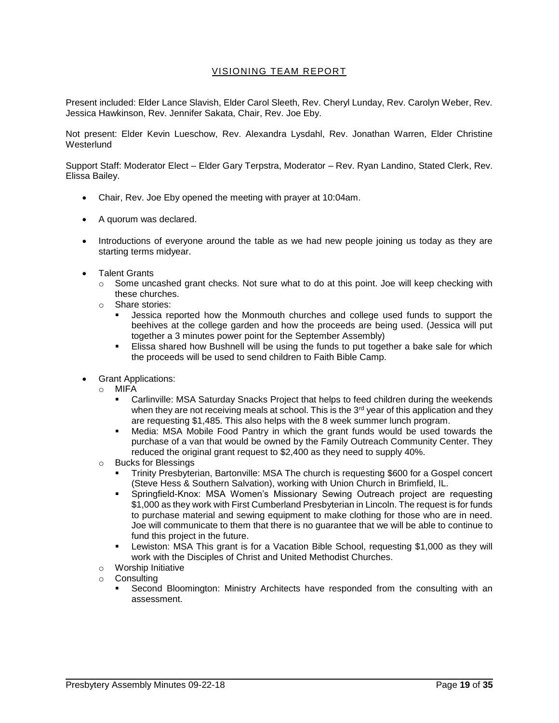# VISIONING TEAM REPORT

Present included: Elder Lance Slavish, Elder Carol Sleeth, Rev. Cheryl Lunday, Rev. Carolyn Weber, Rev. Jessica Hawkinson, Rev. Jennifer Sakata, Chair, Rev. Joe Eby.

Not present: Elder Kevin Lueschow, Rev. Alexandra Lysdahl, Rev. Jonathan Warren, Elder Christine **Westerlund** 

Support Staff: Moderator Elect – Elder Gary Terpstra, Moderator – Rev. Ryan Landino, Stated Clerk, Rev. Elissa Bailey.

- Chair, Rev. Joe Eby opened the meeting with prayer at 10:04am.
- A quorum was declared.
- Introductions of everyone around the table as we had new people joining us today as they are starting terms midyear.
- Talent Grants
	- $\circ$  Some uncashed grant checks. Not sure what to do at this point. Joe will keep checking with these churches.
	- o Share stories:
		- Jessica reported how the Monmouth churches and college used funds to support the beehives at the college garden and how the proceeds are being used. (Jessica will put together a 3 minutes power point for the September Assembly)
		- **Elissa shared how Bushnell will be using the funds to put together a bake sale for which** the proceeds will be used to send children to Faith Bible Camp.
- Grant Applications:
	- o MIFA
		- Carlinville: MSA Saturday Snacks Project that helps to feed children during the weekends when they are not receiving meals at school. This is the  $3<sup>rd</sup>$  year of this application and they are requesting \$1,485. This also helps with the 8 week summer lunch program.
		- Media: MSA Mobile Food Pantry in which the grant funds would be used towards the purchase of a van that would be owned by the Family Outreach Community Center. They reduced the original grant request to \$2,400 as they need to supply 40%.
	- o Bucks for Blessings
		- Trinity Presbyterian, Bartonville: MSA The church is requesting \$600 for a Gospel concert (Steve Hess & Southern Salvation), working with Union Church in Brimfield, IL.
		- Springfield-Knox: MSA Women's Missionary Sewing Outreach project are requesting \$1,000 as they work with First Cumberland Presbyterian in Lincoln. The request is for funds to purchase material and sewing equipment to make clothing for those who are in need. Joe will communicate to them that there is no guarantee that we will be able to continue to fund this project in the future.
		- **•** Lewiston: MSA This grant is for a Vacation Bible School, requesting \$1,000 as they will work with the Disciples of Christ and United Methodist Churches.
	- o Worship Initiative
	- o Consulting
		- Second Bloomington: Ministry Architects have responded from the consulting with an assessment.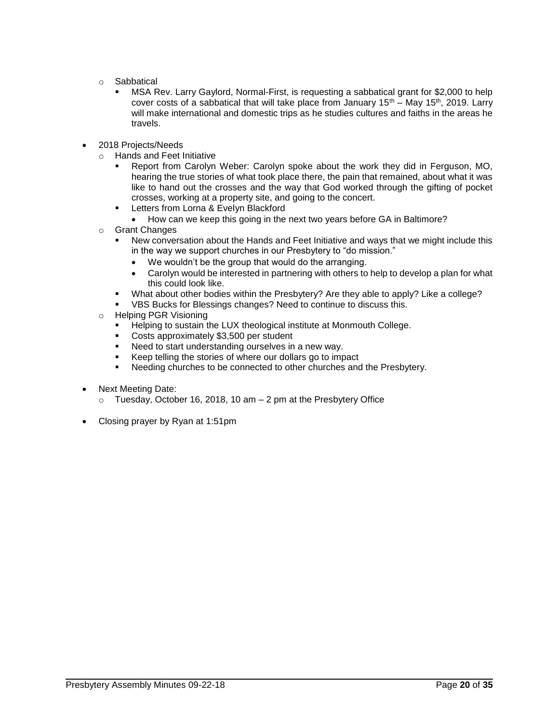- o Sabbatical
	- MSA Rev. Larry Gaylord, Normal-First, is requesting a sabbatical grant for \$2,000 to help cover costs of a sabbatical that will take place from January  $15<sup>th</sup>$  – May  $15<sup>th</sup>$ , 2019. Larry will make international and domestic trips as he studies cultures and faiths in the areas he travels.
- 2018 Projects/Needs
	- o Hands and Feet Initiative
		- Report from Carolyn Weber: Carolyn spoke about the work they did in Ferguson, MO, hearing the true stories of what took place there, the pain that remained, about what it was like to hand out the crosses and the way that God worked through the gifting of pocket crosses, working at a property site, and going to the concert.
		- **EXECT:** Letters from Lorna & Evelyn Blackford
			- How can we keep this going in the next two years before GA in Baltimore?
	- o Grant Changes
		- New conversation about the Hands and Feet Initiative and ways that we might include this in the way we support churches in our Presbytery to "do mission."
			- We wouldn't be the group that would do the arranging.
			- Carolyn would be interested in partnering with others to help to develop a plan for what this could look like.
		- What about other bodies within the Presbytery? Are they able to apply? Like a college?
		- VBS Bucks for Blessings changes? Need to continue to discuss this.
	- o Helping PGR Visioning
		- Helping to sustain the LUX theological institute at Monmouth College.
		- Costs approximately \$3,500 per student
		- Need to start understanding ourselves in a new way.
		- Keep telling the stories of where our dollars go to impact
		- Needing churches to be connected to other churches and the Presbytery.
- Next Meeting Date:
	- $\circ$  Tuesday, October 16, 2018, 10 am  $-$  2 pm at the Presbytery Office
- Closing prayer by Ryan at 1:51pm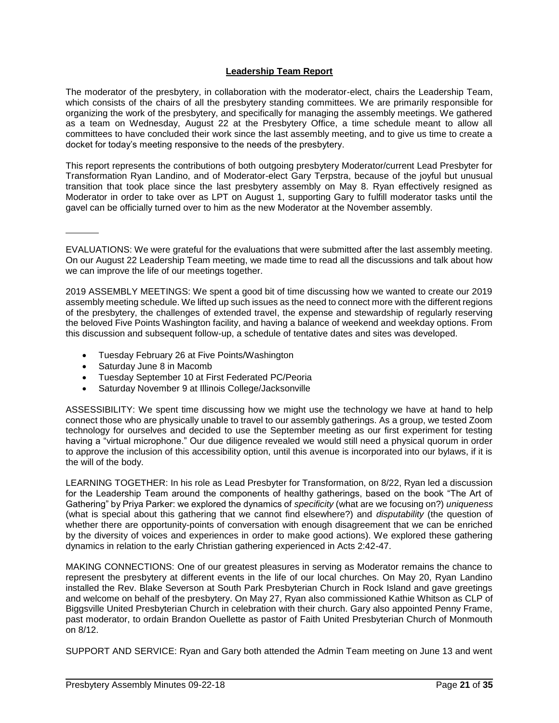## **Leadership Team Report**

The moderator of the presbytery, in collaboration with the moderator-elect, chairs the Leadership Team, which consists of the chairs of all the presbytery standing committees. We are primarily responsible for organizing the work of the presbytery, and specifically for managing the assembly meetings. We gathered as a team on Wednesday, August 22 at the Presbytery Office, a time schedule meant to allow all committees to have concluded their work since the last assembly meeting, and to give us time to create a docket for today's meeting responsive to the needs of the presbytery.

This report represents the contributions of both outgoing presbytery Moderator/current Lead Presbyter for Transformation Ryan Landino, and of Moderator-elect Gary Terpstra, because of the joyful but unusual transition that took place since the last presbytery assembly on May 8. Ryan effectively resigned as Moderator in order to take over as LPT on August 1, supporting Gary to fulfill moderator tasks until the gavel can be officially turned over to him as the new Moderator at the November assembly.

EVALUATIONS: We were grateful for the evaluations that were submitted after the last assembly meeting. On our August 22 Leadership Team meeting, we made time to read all the discussions and talk about how we can improve the life of our meetings together.

2019 ASSEMBLY MEETINGS: We spent a good bit of time discussing how we wanted to create our 2019 assembly meeting schedule. We lifted up such issues as the need to connect more with the different regions of the presbytery, the challenges of extended travel, the expense and stewardship of regularly reserving the beloved Five Points Washington facility, and having a balance of weekend and weekday options. From this discussion and subsequent follow-up, a schedule of tentative dates and sites was developed.

- Tuesday February 26 at Five Points/Washington
- Saturday June 8 in Macomb
- Tuesday September 10 at First Federated PC/Peoria
- Saturday November 9 at Illinois College/Jacksonville

ASSESSIBILITY: We spent time discussing how we might use the technology we have at hand to help connect those who are physically unable to travel to our assembly gatherings. As a group, we tested Zoom technology for ourselves and decided to use the September meeting as our first experiment for testing having a "virtual microphone." Our due diligence revealed we would still need a physical quorum in order to approve the inclusion of this accessibility option, until this avenue is incorporated into our bylaws, if it is the will of the body.

LEARNING TOGETHER: In his role as Lead Presbyter for Transformation, on 8/22, Ryan led a discussion for the Leadership Team around the components of healthy gatherings, based on the book "The Art of Gathering" by Priya Parker: we explored the dynamics of *specificity* (what are we focusing on?) *uniqueness* (what is special about this gathering that we cannot find elsewhere?) and *disputability* (the question of whether there are opportunity-points of conversation with enough disagreement that we can be enriched by the diversity of voices and experiences in order to make good actions). We explored these gathering dynamics in relation to the early Christian gathering experienced in Acts 2:42-47.

MAKING CONNECTIONS: One of our greatest pleasures in serving as Moderator remains the chance to represent the presbytery at different events in the life of our local churches. On May 20, Ryan Landino installed the Rev. Blake Severson at South Park Presbyterian Church in Rock Island and gave greetings and welcome on behalf of the presbytery. On May 27, Ryan also commissioned Kathie Whitson as CLP of Biggsville United Presbyterian Church in celebration with their church. Gary also appointed Penny Frame, past moderator, to ordain Brandon Ouellette as pastor of Faith United Presbyterian Church of Monmouth on 8/12.

SUPPORT AND SERVICE: Ryan and Gary both attended the Admin Team meeting on June 13 and went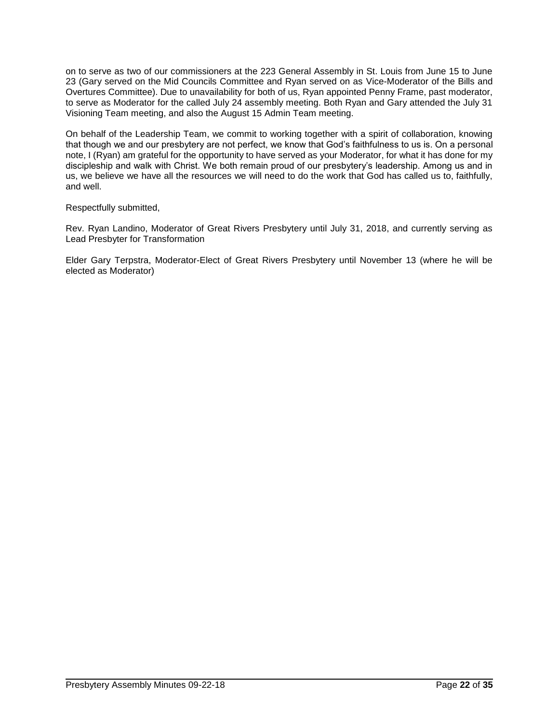on to serve as two of our commissioners at the 223 General Assembly in St. Louis from June 15 to June 23 (Gary served on the Mid Councils Committee and Ryan served on as Vice-Moderator of the Bills and Overtures Committee). Due to unavailability for both of us, Ryan appointed Penny Frame, past moderator, to serve as Moderator for the called July 24 assembly meeting. Both Ryan and Gary attended the July 31 Visioning Team meeting, and also the August 15 Admin Team meeting.

On behalf of the Leadership Team, we commit to working together with a spirit of collaboration, knowing that though we and our presbytery are not perfect, we know that God's faithfulness to us is. On a personal note, I (Ryan) am grateful for the opportunity to have served as your Moderator, for what it has done for my discipleship and walk with Christ. We both remain proud of our presbytery's leadership. Among us and in us, we believe we have all the resources we will need to do the work that God has called us to, faithfully, and well.

Respectfully submitted,

Rev. Ryan Landino, Moderator of Great Rivers Presbytery until July 31, 2018, and currently serving as Lead Presbyter for Transformation

Elder Gary Terpstra, Moderator-Elect of Great Rivers Presbytery until November 13 (where he will be elected as Moderator)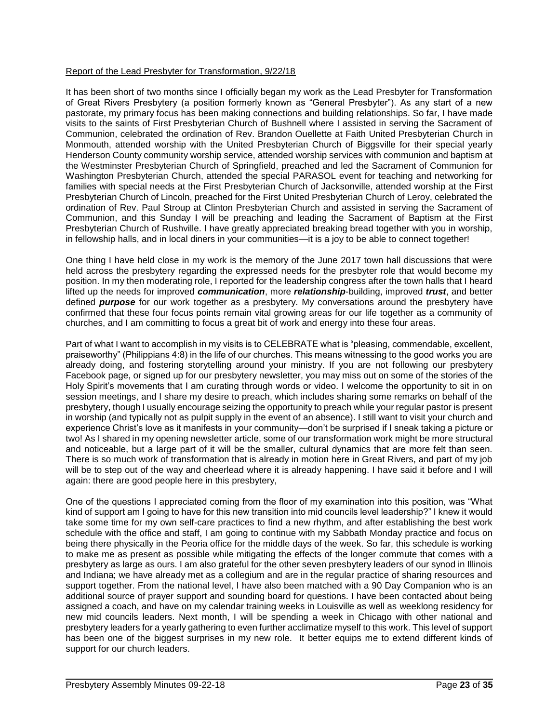## Report of the Lead Presbyter for Transformation, 9/22/18

It has been short of two months since I officially began my work as the Lead Presbyter for Transformation of Great Rivers Presbytery (a position formerly known as "General Presbyter"). As any start of a new pastorate, my primary focus has been making connections and building relationships. So far, I have made visits to the saints of First Presbyterian Church of Bushnell where I assisted in serving the Sacrament of Communion, celebrated the ordination of Rev. Brandon Ouellette at Faith United Presbyterian Church in Monmouth, attended worship with the United Presbyterian Church of Biggsville for their special yearly Henderson County community worship service, attended worship services with communion and baptism at the Westminster Presbyterian Church of Springfield, preached and led the Sacrament of Communion for Washington Presbyterian Church, attended the special PARASOL event for teaching and networking for families with special needs at the First Presbyterian Church of Jacksonville, attended worship at the First Presbyterian Church of Lincoln, preached for the First United Presbyterian Church of Leroy, celebrated the ordination of Rev. Paul Stroup at Clinton Presbyterian Church and assisted in serving the Sacrament of Communion, and this Sunday I will be preaching and leading the Sacrament of Baptism at the First Presbyterian Church of Rushville. I have greatly appreciated breaking bread together with you in worship, in fellowship halls, and in local diners in your communities—it is a joy to be able to connect together!

One thing I have held close in my work is the memory of the June 2017 town hall discussions that were held across the presbytery regarding the expressed needs for the presbyter role that would become my position. In my then moderating role, I reported for the leadership congress after the town halls that I heard lifted up the needs for improved *communication*, more *relationship*-building, improved *trust*, and better defined *purpose* for our work together as a presbytery. My conversations around the presbytery have confirmed that these four focus points remain vital growing areas for our life together as a community of churches, and I am committing to focus a great bit of work and energy into these four areas.

Part of what I want to accomplish in my visits is to CELEBRATE what is "pleasing, commendable, excellent, praiseworthy" (Philippians 4:8) in the life of our churches. This means witnessing to the good works you are already doing, and fostering storytelling around your ministry. If you are not following our presbytery Facebook page, or signed up for our presbytery newsletter, you may miss out on some of the stories of the Holy Spirit's movements that I am curating through words or video. I welcome the opportunity to sit in on session meetings, and I share my desire to preach, which includes sharing some remarks on behalf of the presbytery, though I usually encourage seizing the opportunity to preach while your regular pastor is present in worship (and typically not as pulpit supply in the event of an absence). I still want to visit your church and experience Christ's love as it manifests in your community—don't be surprised if I sneak taking a picture or two! As I shared in my opening newsletter article, some of our transformation work might be more structural and noticeable, but a large part of it will be the smaller, cultural dynamics that are more felt than seen. There is so much work of transformation that is already in motion here in Great Rivers, and part of my job will be to step out of the way and cheerlead where it is already happening. I have said it before and I will again: there are good people here in this presbytery,

One of the questions I appreciated coming from the floor of my examination into this position, was "What kind of support am I going to have for this new transition into mid councils level leadership?" I knew it would take some time for my own self-care practices to find a new rhythm, and after establishing the best work schedule with the office and staff, I am going to continue with my Sabbath Monday practice and focus on being there physically in the Peoria office for the middle days of the week. So far, this schedule is working to make me as present as possible while mitigating the effects of the longer commute that comes with a presbytery as large as ours. I am also grateful for the other seven presbytery leaders of our synod in Illinois and Indiana; we have already met as a collegium and are in the regular practice of sharing resources and support together. From the national level, I have also been matched with a 90 Day Companion who is an additional source of prayer support and sounding board for questions. I have been contacted about being assigned a coach, and have on my calendar training weeks in Louisville as well as weeklong residency for new mid councils leaders. Next month, I will be spending a week in Chicago with other national and presbytery leaders for a yearly gathering to even further acclimatize myself to this work. This level of support has been one of the biggest surprises in my new role. It better equips me to extend different kinds of support for our church leaders.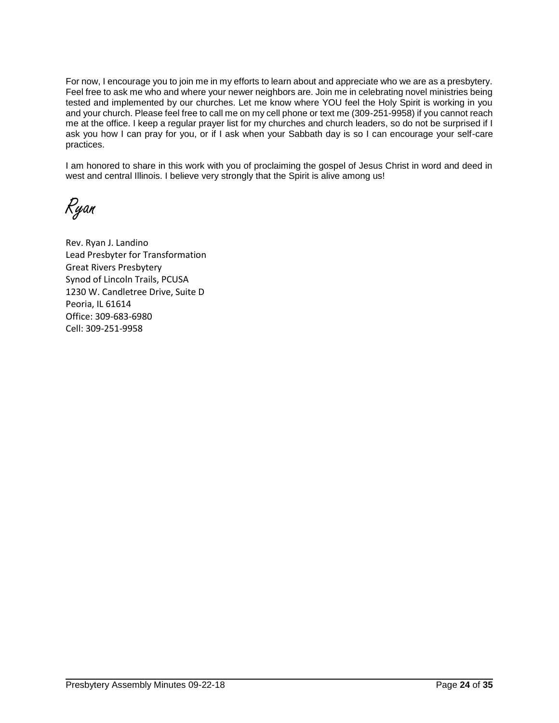For now, I encourage you to join me in my efforts to learn about and appreciate who we are as a presbytery. Feel free to ask me who and where your newer neighbors are. Join me in celebrating novel ministries being tested and implemented by our churches. Let me know where YOU feel the Holy Spirit is working in you and your church. Please feel free to call me on my cell phone or text me (309-251-9958) if you cannot reach me at the office. I keep a regular prayer list for my churches and church leaders, so do not be surprised if I ask you how I can pray for you, or if I ask when your Sabbath day is so I can encourage your self-care practices.

I am honored to share in this work with you of proclaiming the gospel of Jesus Christ in word and deed in west and central Illinois. I believe very strongly that the Spirit is alive among us!

Ryan

Rev. Ryan J. Landino Lead Presbyter for Transformation Great Rivers Presbytery Synod of Lincoln Trails, PCUSA 1230 W. Candletree Drive, Suite D Peoria, IL 61614 Office: 309-683-6980 Cell: 309-251-9958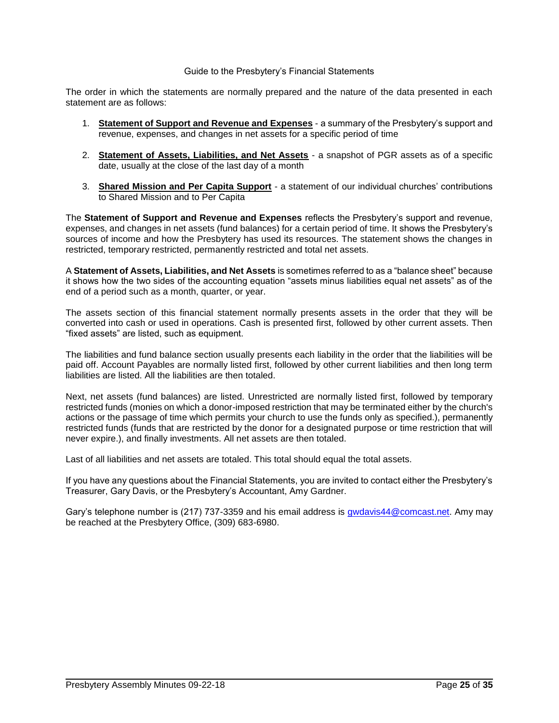#### Guide to the Presbytery's Financial Statements

The order in which the statements are normally prepared and the nature of the data presented in each statement are as follows:

- 1. **Statement of Support and Revenue and Expenses** a summary of the Presbytery's support and revenue, expenses, and changes in net assets for a specific period of time
- 2. **Statement of Assets, Liabilities, and Net Assets** a snapshot of PGR assets as of a specific date, usually at the close of the last day of a month
- 3. **Shared Mission and Per Capita Support** a statement of our individual churches' contributions to Shared Mission and to Per Capita

The **Statement of Support and Revenue and Expenses** reflects the Presbytery's support and revenue, expenses, and changes in net assets (fund balances) for a certain period of time. It shows the Presbytery's sources of income and how the Presbytery has used its resources. The statement shows the changes in restricted, temporary restricted, permanently restricted and total net assets.

A **Statement of Assets, Liabilities, and Net Assets** is sometimes referred to as a "balance sheet" because it shows how the two sides of the accounting equation "assets minus liabilities equal net assets" as of the end of a period such as a month, quarter, or year.

The assets section of this financial statement normally presents assets in the order that they will be converted into cash or used in operations. Cash is presented first, followed by other current assets. Then "fixed assets" are listed, such as equipment.

The liabilities and fund balance section usually presents each liability in the order that the liabilities will be paid off. Account Payables are normally listed first, followed by other current liabilities and then long term liabilities are listed. All the liabilities are then totaled.

Next, net assets (fund balances) are listed. Unrestricted are normally listed first, followed by temporary restricted funds (monies on which a donor-imposed restriction that may be terminated either by the church's actions or the passage of time which permits your church to use the funds only as specified.), permanently restricted funds (funds that are restricted by the donor for a designated purpose or time restriction that will never expire.), and finally investments. All net assets are then totaled.

Last of all liabilities and net assets are totaled. This total should equal the total assets.

If you have any questions about the Financial Statements, you are invited to contact either the Presbytery's Treasurer, Gary Davis, or the Presbytery's Accountant, Amy Gardner.

Gary's telephone number is (217) 737-3359 and his email address is [gwdavis44@comcast.net.](mailto:gwdavis44@comcast.net) Amy may be reached at the Presbytery Office, (309) 683-6980.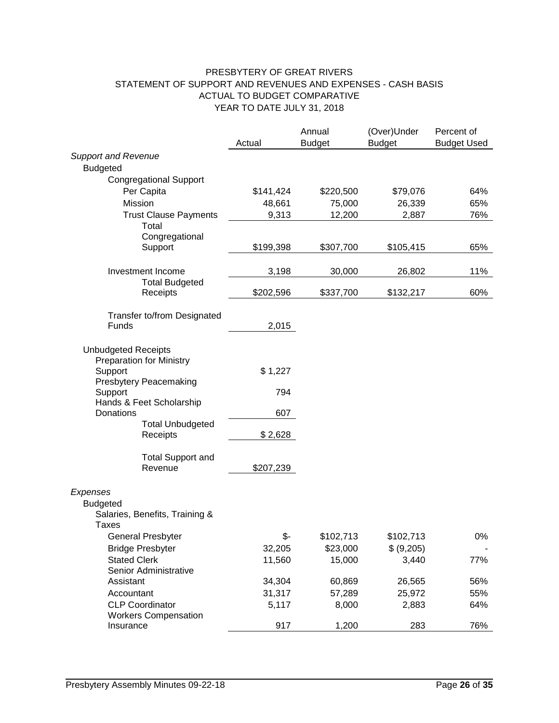# PRESBYTERY OF GREAT RIVERS STATEMENT OF SUPPORT AND REVENUES AND EXPENSES - CASH BASIS ACTUAL TO BUDGET COMPARATIVE YEAR TO DATE JULY 31, 2018

|                                                       |           | Annual        | (Over)Under   | Percent of         |
|-------------------------------------------------------|-----------|---------------|---------------|--------------------|
| <b>Support and Revenue</b>                            | Actual    | <b>Budget</b> | <b>Budget</b> | <b>Budget Used</b> |
| <b>Budgeted</b>                                       |           |               |               |                    |
| <b>Congregational Support</b>                         |           |               |               |                    |
| Per Capita                                            | \$141,424 | \$220,500     | \$79,076      | 64%                |
| Mission                                               | 48,661    | 75,000        | 26,339        | 65%                |
| <b>Trust Clause Payments</b>                          | 9,313     | 12,200        | 2,887         | 76%                |
| Total                                                 |           |               |               |                    |
| Congregational                                        |           |               |               |                    |
| Support                                               | \$199,398 | \$307,700     | \$105,415     | 65%                |
| Investment Income                                     | 3,198     | 30,000        | 26,802        | 11%                |
| <b>Total Budgeted</b><br>Receipts                     | \$202,596 | \$337,700     | \$132,217     | 60%                |
| Transfer to/from Designated                           |           |               |               |                    |
| Funds                                                 | 2,015     |               |               |                    |
| <b>Unbudgeted Receipts</b>                            |           |               |               |                    |
| <b>Preparation for Ministry</b>                       |           |               |               |                    |
| Support                                               | \$1,227   |               |               |                    |
| <b>Presbytery Peacemaking</b><br>Support              | 794       |               |               |                    |
| Hands & Feet Scholarship                              |           |               |               |                    |
| Donations                                             | 607       |               |               |                    |
| <b>Total Unbudgeted</b>                               |           |               |               |                    |
| Receipts                                              | \$2,628   |               |               |                    |
| <b>Total Support and</b>                              |           |               |               |                    |
| Revenue                                               | \$207,239 |               |               |                    |
| Expenses                                              |           |               |               |                    |
| <b>Budgeted</b>                                       |           |               |               |                    |
| Salaries, Benefits, Training &<br>Taxes               |           |               |               |                    |
| General Presbyter                                     | \$-       | \$102,713     | \$102,713     | 0%                 |
| <b>Bridge Presbyter</b>                               | 32,205    | \$23,000      | \$ (9,205)    |                    |
| <b>Stated Clerk</b>                                   | 11,560    | 15,000        | 3,440         | 77%                |
| Senior Administrative                                 |           |               |               |                    |
| Assistant                                             | 34,304    | 60,869        | 26,565        | 56%                |
| Accountant                                            | 31,317    | 57,289        | 25,972        | 55%                |
| <b>CLP Coordinator</b><br><b>Workers Compensation</b> | 5,117     | 8,000         | 2,883         | 64%                |
| Insurance                                             | 917       | 1,200         | 283           | 76%                |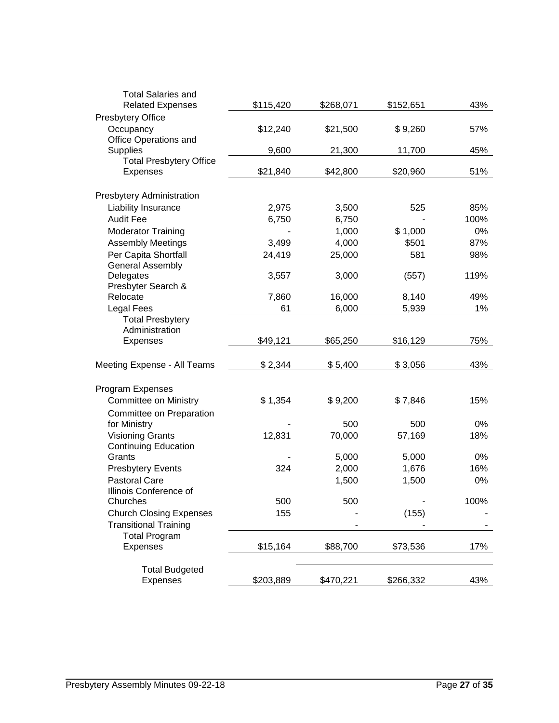| <b>Total Salaries and</b>                 |           |           |           |       |
|-------------------------------------------|-----------|-----------|-----------|-------|
| <b>Related Expenses</b>                   | \$115,420 | \$268,071 | \$152,651 | 43%   |
| <b>Presbytery Office</b><br>Occupancy     | \$12,240  | \$21,500  | \$9,260   | 57%   |
| Office Operations and                     |           |           |           |       |
| <b>Supplies</b>                           | 9,600     | 21,300    | 11,700    | 45%   |
| <b>Total Presbytery Office</b>            |           |           |           |       |
| <b>Expenses</b>                           | \$21,840  | \$42,800  | \$20,960  | 51%   |
| Presbytery Administration                 |           |           |           |       |
| Liability Insurance                       | 2,975     | 3,500     | 525       | 85%   |
| <b>Audit Fee</b>                          | 6,750     | 6,750     |           | 100%  |
| <b>Moderator Training</b>                 |           | 1,000     | \$1,000   | 0%    |
| <b>Assembly Meetings</b>                  | 3,499     | 4,000     | \$501     | 87%   |
| Per Capita Shortfall                      | 24,419    | 25,000    | 581       | 98%   |
| <b>General Assembly</b>                   |           |           |           |       |
| Delegates                                 | 3,557     | 3,000     | (557)     | 119%  |
| Presbyter Search &                        |           |           |           |       |
| Relocate                                  | 7,860     | 16,000    | 8,140     | 49%   |
| <b>Legal Fees</b>                         | 61        | 6,000     | 5,939     | $1\%$ |
| <b>Total Presbytery</b><br>Administration |           |           |           |       |
| <b>Expenses</b>                           | \$49,121  | \$65,250  | \$16,129  | 75%   |
|                                           |           |           |           |       |
| Meeting Expense - All Teams               | \$2,344   | \$5,400   | \$3,056   | 43%   |
| Program Expenses                          |           |           |           |       |
| <b>Committee on Ministry</b>              | \$1,354   | \$9,200   | \$7,846   | 15%   |
| Committee on Preparation                  |           |           |           |       |
| for Ministry                              |           | 500       | 500       | 0%    |
| <b>Visioning Grants</b>                   | 12,831    | 70,000    | 57,169    | 18%   |
| <b>Continuing Education</b>               |           |           |           |       |
| Grants                                    |           | 5,000     | 5,000     | 0%    |
| <b>Presbytery Events</b>                  | 324       | 2,000     | 1,676     | 16%   |
| <b>Pastoral Care</b>                      |           | 1,500     | 1,500     | 0%    |
| Illinois Conference of                    |           |           |           |       |
| Churches                                  | 500       | 500       |           | 100%  |
| <b>Church Closing Expenses</b>            | 155       |           | (155)     |       |
| <b>Transitional Training</b>              |           |           |           |       |
| <b>Total Program</b>                      |           |           |           |       |
| <b>Expenses</b>                           | \$15,164  | \$88,700  | \$73,536  | 17%   |
| <b>Total Budgeted</b>                     |           |           |           |       |
| Expenses                                  | \$203,889 | \$470,221 | \$266,332 | 43%   |
|                                           |           |           |           |       |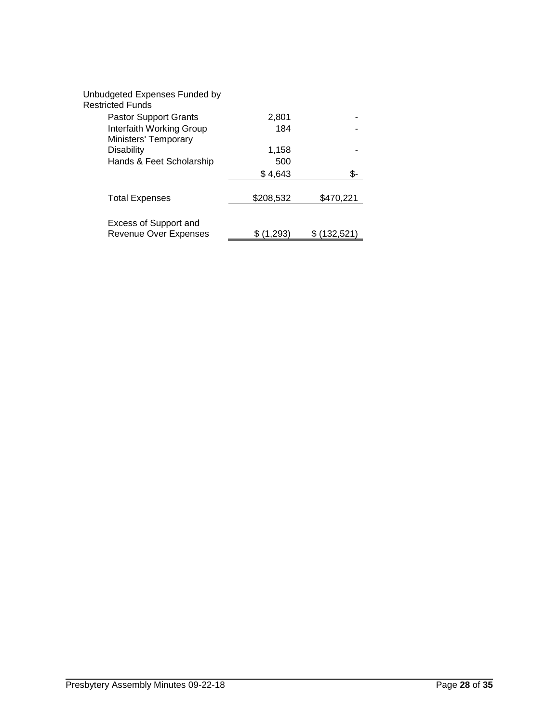| Unbudgeted Expenses Funded by<br>Restricted Funds     |           |           |
|-------------------------------------------------------|-----------|-----------|
| <b>Pastor Support Grants</b>                          | 2,801     |           |
| Interfaith Working Group<br>Ministers' Temporary      | 184       |           |
| <b>Disability</b>                                     | 1,158     |           |
| Hands & Feet Scholarship                              | 500       |           |
|                                                       | \$4,643   |           |
| <b>Total Expenses</b>                                 | \$208,532 | \$470,221 |
| Excess of Support and<br><b>Revenue Over Expenses</b> | (1.293)   | (132,521  |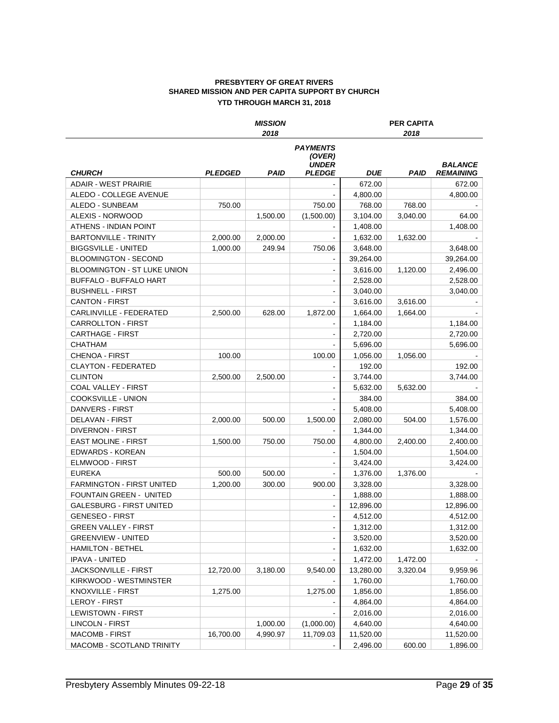#### **PRESBYTERY OF GREAT RIVERS SHARED MISSION AND PER CAPITA SUPPORT BY CHURCH YTD THROUGH MARCH 31, 2018**

|                                    |                       | <b>MISSION</b> |                                                            |            | <b>PER CAPITA</b> |                                    |
|------------------------------------|-----------------------|----------------|------------------------------------------------------------|------------|-------------------|------------------------------------|
|                                    |                       | 2018           |                                                            |            | 2018              |                                    |
| <b>CHURCH</b>                      | <i><b>PLEDGED</b></i> | <b>PAID</b>    | <b>PAYMENTS</b><br>(OVER)<br><b>UNDER</b><br><b>PLEDGE</b> | <b>DUE</b> | PAID              | <b>BALANCE</b><br><b>REMAINING</b> |
| <b>ADAIR - WEST PRAIRIE</b>        |                       |                |                                                            | 672.00     |                   | 672.00                             |
| ALEDO - COLLEGE AVENUE             |                       |                |                                                            | 4,800.00   |                   | 4,800.00                           |
| ALEDO - SUNBEAM                    | 750.00                |                | 750.00                                                     | 768.00     | 768.00            |                                    |
| ALEXIS - NORWOOD                   |                       | 1.500.00       | (1,500.00)                                                 | 3,104.00   | 3,040.00          | 64.00                              |
| ATHENS - INDIAN POINT              |                       |                |                                                            | 1,408.00   |                   | 1,408.00                           |
| <b>BARTONVILLE - TRINITY</b>       | 2,000.00              | 2,000.00       |                                                            | 1,632.00   | 1,632.00          |                                    |
| <b>BIGGSVILLE - UNITED</b>         | 1,000.00              | 249.94         | 750.06                                                     | 3,648.00   |                   | 3,648.00                           |
| <b>BLOOMINGTON - SECOND</b>        |                       |                |                                                            | 39,264.00  |                   | 39,264.00                          |
| <b>BLOOMINGTON - ST LUKE UNION</b> |                       |                |                                                            | 3,616.00   | 1,120.00          | 2,496.00                           |
| <b>BUFFALO - BUFFALO HART</b>      |                       |                |                                                            | 2,528.00   |                   | 2,528.00                           |
| <b>BUSHNELL - FIRST</b>            |                       |                |                                                            | 3,040.00   |                   | 3,040.00                           |
| <b>CANTON FIRST</b>                |                       |                |                                                            | 3,616.00   | 3,616.00          |                                    |
| CARLINVILLE - FEDERATED            | 2.500.00              | 628.00         | 1.872.00                                                   | 1,664.00   | 1,664.00          |                                    |
| <b>CARROLLTON - FIRST</b>          |                       |                |                                                            | 1,184.00   |                   | 1,184.00                           |
| <b>CARTHAGE - FIRST</b>            |                       |                |                                                            | 2,720.00   |                   | 2,720.00                           |
| CHATHAM                            |                       |                |                                                            | 5.696.00   |                   | 5,696.00                           |
| CHENOA - FIRST                     | 100.00                |                | 100.00                                                     | 1,056.00   | 1,056.00          |                                    |
| <b>CLAYTON - FEDERATED</b>         |                       |                |                                                            | 192.00     |                   | 192.00                             |
| <b>CLINTON</b>                     | 2.500.00              | 2,500.00       |                                                            | 3,744.00   |                   | 3.744.00                           |
| COAL VALLEY - FIRST                |                       |                |                                                            | 5,632.00   | 5,632.00          |                                    |
| <b>COOKSVILLE - UNION</b>          |                       |                |                                                            | 384.00     |                   | 384.00                             |
| DANVERS - FIRST                    |                       |                |                                                            | 5,408.00   |                   | 5,408.00                           |
| DELAVAN - FIRST                    | 2,000.00              | 500.00         | 1,500.00                                                   | 2,080.00   | 504.00            | 1,576.00                           |
| <b>DIVERNON - FIRST</b>            |                       |                |                                                            | 1,344.00   |                   | 1,344.00                           |
| <b>EAST MOLINE - FIRST</b>         | 1,500.00              | 750.00         | 750.00                                                     | 4,800.00   | 2,400.00          | 2,400.00                           |
| EDWARDS - KOREAN                   |                       |                |                                                            | 1,504.00   |                   | 1,504.00                           |
| ELMWOOD - FIRST                    |                       |                |                                                            | 3,424.00   |                   | 3,424.00                           |
| <b>EUREKA</b>                      | 500.00                | 500.00         |                                                            | 1,376.00   | 1,376.00          |                                    |
| <b>FARMINGTON - FIRST UNITED</b>   | 1,200.00              | 300.00         | 900.00                                                     | 3,328.00   |                   | 3,328.00                           |
| FOUNTAIN GREEN - UNITED            |                       |                | $\blacksquare$                                             | 1,888.00   |                   | 1,888.00                           |
| <b>GALESBURG - FIRST UNITED</b>    |                       |                | ÷,                                                         | 12,896.00  |                   | 12,896.00                          |
| <b>GENESEO - FIRST</b>             |                       |                |                                                            | 4,512.00   |                   | 4,512.00                           |
| <b>GREEN VALLEY - FIRST</b>        |                       |                |                                                            | 1,312.00   |                   | 1,312.00                           |
| <b>GREENVIEW - UNITED</b>          |                       |                |                                                            | 3,520.00   |                   | 3,520.00                           |
| <b>HAMILTON - BETHEL</b>           |                       |                |                                                            | 1,632.00   |                   | 1,632.00                           |
| <b>IPAVA - UNITED</b>              |                       |                |                                                            | 1,472.00   | 1,472.00          |                                    |
| JACKSONVILLE - FIRST               | 12,720.00             | 3,180.00       | 9,540.00                                                   | 13,280.00  | 3,320.04          | 9,959.96                           |
| KIRKWOOD - WESTMINSTER             |                       |                |                                                            | 1,760.00   |                   | 1,760.00                           |
| KNOXVILLE - FIRST                  | 1,275.00              |                | 1,275.00                                                   | 1,856.00   |                   | 1,856.00                           |
| <b>LEROY - FIRST</b>               |                       |                |                                                            | 4,864.00   |                   | 4,864.00                           |
| <b>LEWISTOWN - FIRST</b>           |                       |                |                                                            | 2,016.00   |                   | 2,016.00                           |
| <b>LINCOLN - FIRST</b>             |                       | 1,000.00       | (1,000.00)                                                 | 4,640.00   |                   | 4,640.00                           |
| <b>MACOMB - FIRST</b>              | 16,700.00             | 4,990.97       | 11,709.03                                                  | 11,520.00  |                   | 11,520.00                          |
| MACOMB - SCOTLAND TRINITY          |                       |                |                                                            | 2,496.00   | 600.00            | 1,896.00                           |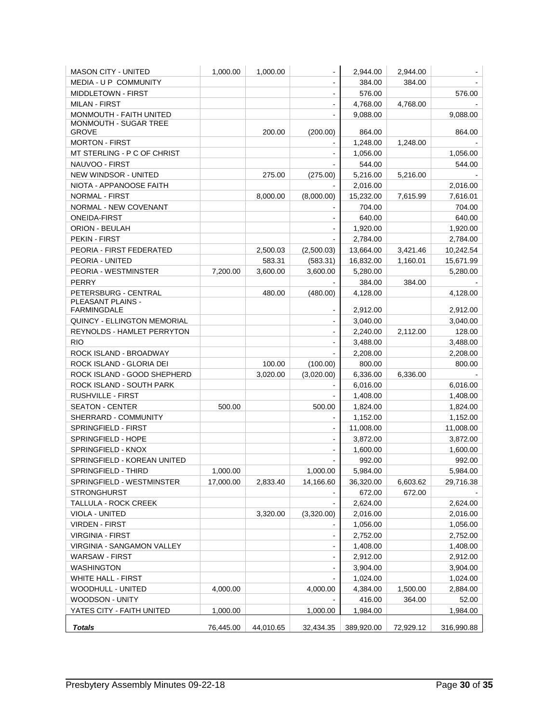| <b>MASON CITY - UNITED</b>              | 1,000.00  | 1,000.00  |                              | 2,944.00   | 2,944.00  |            |
|-----------------------------------------|-----------|-----------|------------------------------|------------|-----------|------------|
| MEDIA - U P COMMUNITY                   |           |           |                              | 384.00     | 384.00    |            |
| <b>MIDDLETOWN - FIRST</b>               |           |           | $\blacksquare$               | 576.00     |           | 576.00     |
| <b>MILAN - FIRST</b>                    |           |           | $\blacksquare$               | 4,768.00   | 4,768.00  |            |
| MONMOUTH - FAITH UNITED                 |           |           |                              | 9,088.00   |           | 9,088.00   |
| MONMOUTH - SUGAR TREE                   |           |           |                              |            |           |            |
| <b>GROVE</b>                            |           | 200.00    | (200.00)                     | 864.00     |           | 864.00     |
| <b>MORTON - FIRST</b>                   |           |           |                              | 1,248.00   | 1,248.00  |            |
| MT STERLING - P C OF CHRIST             |           |           |                              | 1,056.00   |           | 1,056.00   |
| NAUVOO - FIRST                          |           |           |                              | 544.00     |           | 544.00     |
| <b>NEW WINDSOR - UNITED</b>             |           | 275.00    | (275.00)                     | 5,216.00   | 5,216.00  |            |
| NIOTA - APPANOOSE FAITH                 |           |           |                              | 2,016.00   |           | 2,016.00   |
| <b>NORMAL - FIRST</b>                   |           | 8,000.00  | (8,000.00)                   | 15,232.00  | 7,615.99  | 7,616.01   |
| NORMAL - NEW COVENANT                   |           |           |                              | 704.00     |           | 704.00     |
| <b>ONEIDA-FIRST</b>                     |           |           |                              | 640.00     |           | 640.00     |
| ORION - BEULAH                          |           |           |                              | 1,920.00   |           | 1,920.00   |
| PEKIN - FIRST                           |           |           |                              | 2,784.00   |           | 2,784.00   |
| PEORIA - FIRST FEDERATED                |           | 2,500.03  | (2,500.03)                   | 13,664.00  | 3,421.46  | 10,242.54  |
| PEORIA - UNITED                         |           | 583.31    | (583.31)                     | 16,832.00  | 1,160.01  | 15,671.99  |
| PEORIA - WESTMINSTER                    | 7.200.00  | 3,600.00  | 3,600.00                     | 5,280.00   |           | 5,280.00   |
| PERRY                                   |           |           |                              | 384.00     | 384.00    |            |
| PETERSBURG - CENTRAL                    |           | 480.00    | (480.00)                     | 4,128.00   |           | 4,128.00   |
| PLEASANT PLAINS -<br><b>FARMINGDALE</b> |           |           |                              | 2,912.00   |           | 2,912.00   |
| <b>QUINCY - ELLINGTON MEMORIAL</b>      |           |           | $\blacksquare$               | 3,040.00   |           | 3,040.00   |
| REYNOLDS - HAMLET PERRYTON              |           |           | ÷,                           | 2,240.00   | 2,112.00  | 128.00     |
| <b>RIO</b>                              |           |           | $\blacksquare$               | 3,488.00   |           | 3,488.00   |
| ROCK ISLAND - BROADWAY                  |           |           |                              | 2,208.00   |           | 2,208.00   |
| ROCK ISLAND - GLORIA DEI                |           | 100.00    | (100.00)                     | 800.00     |           | 800.00     |
| ROCK ISLAND - GOOD SHEPHERD             |           | 3,020.00  | (3,020.00)                   | 6,336.00   | 6,336.00  |            |
| ROCK ISLAND - SOUTH PARK                |           |           |                              | 6,016.00   |           | 6,016.00   |
| RUSHVILLE - FIRST                       |           |           |                              | 1,408.00   |           | 1,408.00   |
| SEATON - CENTER                         | 500.00    |           | 500.00                       | 1,824.00   |           | 1,824.00   |
| SHERRARD - COMMUNITY                    |           |           |                              | 1,152.00   |           | 1,152.00   |
| SPRINGFIELD - FIRST                     |           |           |                              | 11,008.00  |           | 11,008.00  |
| SPRINGFIELD - HOPE                      |           |           |                              | 3,872.00   |           | 3,872.00   |
| SPRINGFIELD - KNOX                      |           |           |                              | 1,600.00   |           | 1,600.00   |
| SPRINGFIELD - KOREAN UNITED             |           |           |                              | 992.00     |           | 992.00     |
| SPRINGFIELD - THIRD                     | 1,000.00  |           | 1,000.00                     | 5.984.00   |           | 5,984.00   |
| SPRINGFIELD - WESTMINSTER               | 17,000.00 | 2,833.40  | 14,166.60                    | 36,320.00  | 6,603.62  | 29,716.38  |
| <b>STRONGHURST</b>                      |           |           |                              | 672.00     | 672.00    |            |
| TALLULA - ROCK CREEK                    |           |           |                              | 2,624.00   |           | 2,624.00   |
| VIOLA - UNITED                          |           | 3,320.00  | (3,320.00)                   | 2,016.00   |           | 2,016.00   |
| <b>VIRDEN - FIRST</b>                   |           |           |                              | 1,056.00   |           | 1,056.00   |
| <b>VIRGINIA - FIRST</b>                 |           |           | $\qquad \qquad \blacksquare$ | 2,752.00   |           | 2,752.00   |
| VIRGINIA - SANGAMON VALLEY              |           |           | ۰                            | 1,408.00   |           | 1,408.00   |
| <b>WARSAW - FIRST</b>                   |           |           | $\blacksquare$               | 2,912.00   |           | 2,912.00   |
| <b>WASHINGTON</b>                       |           |           | $\blacksquare$               | 3,904.00   |           | 3,904.00   |
| <b>WHITE HALL - FIRST</b>               |           |           |                              | 1,024.00   |           | 1,024.00   |
| WOODHULL - UNITED                       | 4,000.00  |           | 4,000.00                     | 4,384.00   | 1,500.00  | 2,884.00   |
| WOODSON - UNITY                         |           |           |                              | 416.00     | 364.00    | 52.00      |
| YATES CITY - FAITH UNITED               | 1,000.00  |           | 1,000.00                     | 1,984.00   |           | 1,984.00   |
|                                         |           |           |                              |            |           |            |
| <b>Totals</b>                           | 76,445.00 | 44,010.65 | 32,434.35                    | 389,920.00 | 72,929.12 | 316,990.88 |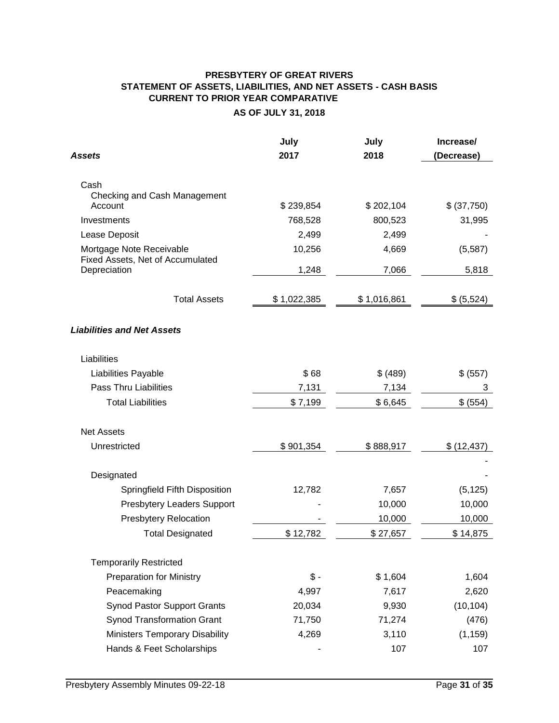# **PRESBYTERY OF GREAT RIVERS STATEMENT OF ASSETS, LIABILITIES, AND NET ASSETS - CASH BASIS CURRENT TO PRIOR YEAR COMPARATIVE AS OF JULY 31, 2018**

| Assets                                  | July<br>2017 | July<br>2018 | Increase/<br>(Decrease) |
|-----------------------------------------|--------------|--------------|-------------------------|
|                                         |              |              |                         |
| Cash                                    |              |              |                         |
| Checking and Cash Management<br>Account | \$239,854    | \$202,104    | \$ (37,750)             |
| Investments                             | 768,528      | 800,523      | 31,995                  |
| Lease Deposit                           | 2,499        | 2,499        |                         |
| Mortgage Note Receivable                | 10,256       | 4,669        | (5, 587)                |
| Fixed Assets, Net of Accumulated        |              |              |                         |
| Depreciation                            | 1,248        | 7,066        | 5,818                   |
| <b>Total Assets</b>                     | \$1,022,385  | \$1,016,861  | \$ (5,524)              |
| <b>Liabilities and Net Assets</b>       |              |              |                         |
| Liabilities                             |              |              |                         |
| Liabilities Payable                     | \$68         | \$ (489)     | \$ (557)                |
| <b>Pass Thru Liabilities</b>            | 7,131        | 7,134        | 3                       |
| <b>Total Liabilities</b>                | \$7,199      | \$6,645      | \$ (554)                |
| <b>Net Assets</b>                       |              |              |                         |
| Unrestricted                            | \$901,354    | \$888,917    | \$ (12, 437)            |
| Designated                              |              |              |                         |
| Springfield Fifth Disposition           | 12,782       | 7,657        | (5, 125)                |
| <b>Presbytery Leaders Support</b>       |              | 10,000       | 10,000                  |
| <b>Presbytery Relocation</b>            |              | 10,000       | 10,000                  |
| <b>Total Designated</b>                 | \$12,782     | \$27,657     | \$14,875                |
| <b>Temporarily Restricted</b>           |              |              |                         |
| <b>Preparation for Ministry</b>         | $$ -$        | \$1,604      | 1,604                   |
| Peacemaking                             | 4,997        | 7,617        | 2,620                   |
| <b>Synod Pastor Support Grants</b>      | 20,034       | 9,930        | (10, 104)               |
| <b>Synod Transformation Grant</b>       | 71,750       | 71,274       | (476)                   |
| <b>Ministers Temporary Disability</b>   | 4,269        | 3,110        | (1, 159)                |
| Hands & Feet Scholarships               |              | 107          | 107                     |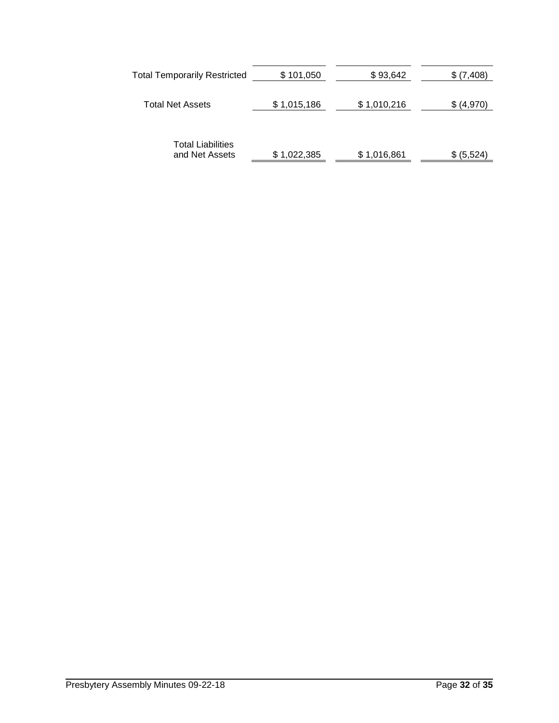| <b>Total Temporarily Restricted</b>        | \$101,050   | \$93,642    | \$ (7,408) |
|--------------------------------------------|-------------|-------------|------------|
| <b>Total Net Assets</b>                    | \$1,015,186 | \$1,010,216 | \$ (4,970) |
| <b>Total Liabilities</b><br>and Net Assets | \$1,022,385 | \$1,016,861 | \$ (5,524) |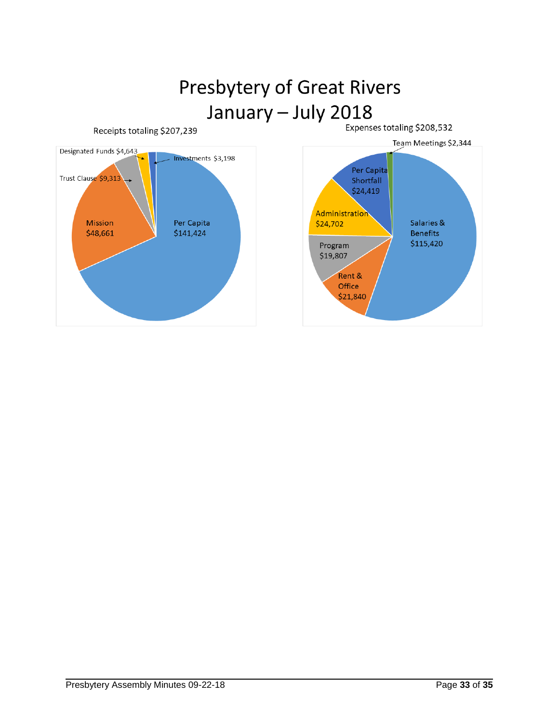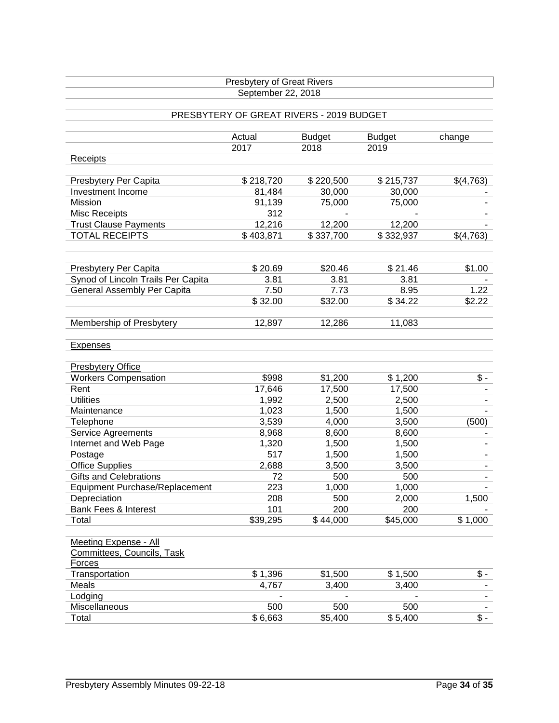|                                    | Presbytery of Great Rivers               |               |               |                              |
|------------------------------------|------------------------------------------|---------------|---------------|------------------------------|
|                                    | September 22, 2018                       |               |               |                              |
|                                    |                                          |               |               |                              |
|                                    | PRESBYTERY OF GREAT RIVERS - 2019 BUDGET |               |               |                              |
|                                    | Actual                                   | <b>Budget</b> | <b>Budget</b> | change                       |
|                                    | 2017                                     | 2018          | 2019          |                              |
| <b>Receipts</b>                    |                                          |               |               |                              |
| Presbytery Per Capita              | \$218,720                                | \$220,500     | \$215,737     | \$(4,763)                    |
| Investment Income                  | 81,484                                   | 30,000        | 30,000        |                              |
| Mission                            | 91,139                                   | 75,000        | 75,000        |                              |
| <b>Misc Receipts</b>               | 312                                      |               |               |                              |
| <b>Trust Clause Payments</b>       | 12,216                                   | 12,200        | 12,200        |                              |
| <b>TOTAL RECEIPTS</b>              | \$403,871                                | \$337,700     | \$332,937     | \$(4,763)                    |
|                                    |                                          |               |               |                              |
| Presbytery Per Capita              | \$20.69                                  | \$20.46       | \$21.46       | \$1.00                       |
| Synod of Lincoln Trails Per Capita | 3.81                                     | 3.81          | 3.81          |                              |
| General Assembly Per Capita        | 7.50                                     | 7.73          | 8.95          | 1.22                         |
|                                    | \$32.00                                  | \$32.00       | \$34.22       | \$2.22                       |
|                                    |                                          |               |               |                              |
| Membership of Presbytery           | 12,897                                   | 12,286        | 11,083        |                              |
| <b>Expenses</b>                    |                                          |               |               |                              |
|                                    |                                          |               |               |                              |
| <b>Presbytery Office</b>           |                                          |               |               |                              |
| <b>Workers Compensation</b>        | \$998                                    | \$1,200       | \$1,200       | $\frac{2}{3}$ .              |
| Rent                               | 17,646                                   | 17,500        | 17,500        |                              |
| <b>Utilities</b>                   | 1,992                                    | 2,500         | 2,500         |                              |
| Maintenance                        | 1,023                                    | 1,500         | 1,500         |                              |
| Telephone                          | 3,539                                    | 4,000         | 3,500         | (500)                        |
| Service Agreements                 | 8,968                                    | 8,600         | 8,600         |                              |
| Internet and Web Page              | 1,320                                    | 1,500         | 1,500         |                              |
| Postage                            | 517                                      | 1,500         | 1,500         | $\blacksquare$               |
| <b>Office Supplies</b>             | 2,688                                    | 3,500         | 3,500         | $\qquad \qquad \blacksquare$ |
| <b>Gifts and Celebrations</b>      | 72                                       | 500           | 500           | $\blacksquare$               |
| Equipment Purchase/Replacement     | 223                                      | 1,000         | 1,000         |                              |
| Depreciation                       | 208                                      | 500           | 2,000         | 1,500                        |
| Bank Fees & Interest               | 101                                      | 200           | 200           |                              |
| Total                              | \$39,295                                 | \$44,000      | \$45,000      | \$1,000                      |
|                                    |                                          |               |               |                              |
| <b>Meeting Expense - All</b>       |                                          |               |               |                              |
| Committees, Councils, Task         |                                          |               |               |                              |
| Forces                             |                                          |               |               |                              |
| Transportation                     | \$1,396                                  | \$1,500       | \$1,500       | $\overline{\$}$ -            |
| Meals                              | 4,767                                    | 3,400         | 3,400         |                              |
| Lodging                            |                                          |               |               |                              |
| Miscellaneous                      | 500                                      | 500           | 500           |                              |
| Total                              | \$6,663                                  | \$5,400       | \$5,400       | $\overline{\$}$ -            |